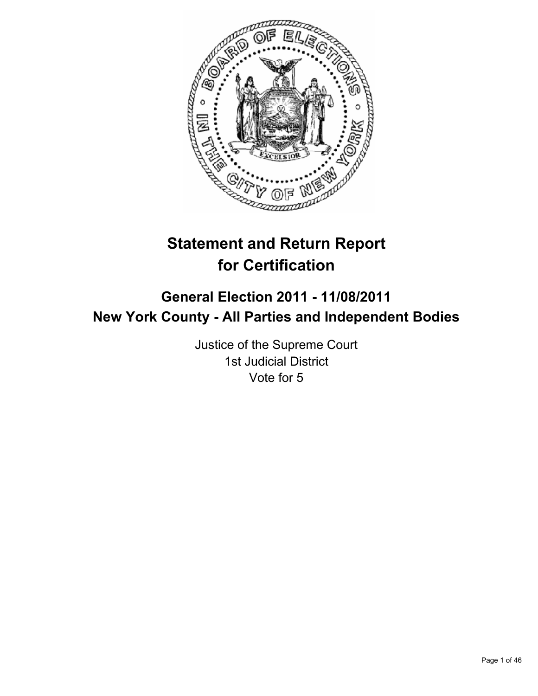

# **Statement and Return Report for Certification**

## **General Election 2011 - 11/08/2011 New York County - All Parties and Independent Bodies**

Justice of the Supreme Court 1st Judicial District Vote for 5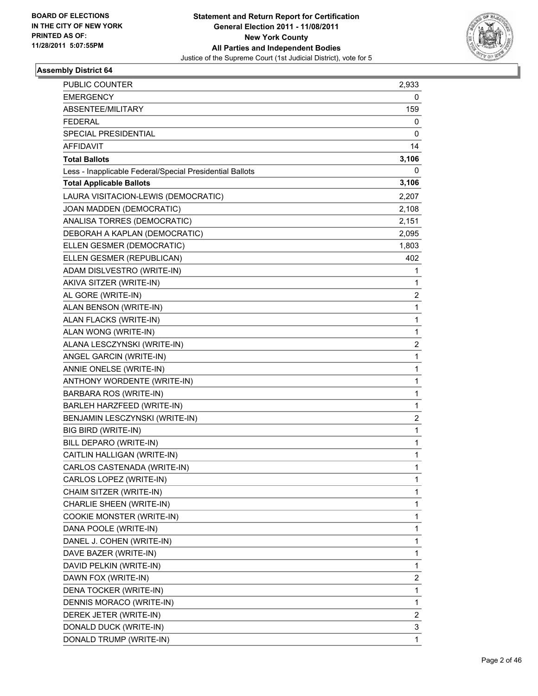

| <b>PUBLIC COUNTER</b>                                    | 2,933 |
|----------------------------------------------------------|-------|
| <b>EMERGENCY</b>                                         | 0     |
| ABSENTEE/MILITARY                                        | 159   |
| <b>FEDERAL</b>                                           | 0     |
| SPECIAL PRESIDENTIAL                                     | 0     |
| AFFIDAVIT                                                | 14    |
| <b>Total Ballots</b>                                     | 3,106 |
| Less - Inapplicable Federal/Special Presidential Ballots | 0     |
| <b>Total Applicable Ballots</b>                          | 3,106 |
| LAURA VISITACION-LEWIS (DEMOCRATIC)                      | 2,207 |
| JOAN MADDEN (DEMOCRATIC)                                 | 2,108 |
| ANALISA TORRES (DEMOCRATIC)                              | 2,151 |
| DEBORAH A KAPLAN (DEMOCRATIC)                            | 2,095 |
| ELLEN GESMER (DEMOCRATIC)                                | 1,803 |
| ELLEN GESMER (REPUBLICAN)                                | 402   |
| ADAM DISLVESTRO (WRITE-IN)                               | 1     |
|                                                          |       |
| AKIVA SITZER (WRITE-IN)                                  | 1     |
| AL GORE (WRITE-IN)                                       | 2     |
| ALAN BENSON (WRITE-IN)                                   | 1     |
| ALAN FLACKS (WRITE-IN)                                   | 1     |
| ALAN WONG (WRITE-IN)                                     | 1     |
| ALANA LESCZYNSKI (WRITE-IN)                              | 2     |
| ANGEL GARCIN (WRITE-IN)                                  | 1     |
| ANNIE ONELSE (WRITE-IN)                                  | 1     |
| ANTHONY WORDENTE (WRITE-IN)                              | 1     |
| BARBARA ROS (WRITE-IN)                                   | 1     |
| BARLEH HARZFEED (WRITE-IN)                               | 1     |
| BENJAMIN LESCZYNSKI (WRITE-IN)                           | 2     |
| BIG BIRD (WRITE-IN)                                      | 1     |
| BILL DEPARO (WRITE-IN)                                   | 1     |
| CAITLIN HALLIGAN (WRITE-IN)                              | 1     |
| CARLOS CASTENADA (WRITE-IN)                              | 1     |
| CARLOS LOPEZ (WRITE-IN)                                  | 1     |
| CHAIM SITZER (WRITE-IN)                                  | 1     |
| CHARLIE SHEEN (WRITE-IN)                                 | 1     |
| COOKIE MONSTER (WRITE-IN)                                | 1     |
| DANA POOLE (WRITE-IN)                                    | 1     |
| DANEL J. COHEN (WRITE-IN)                                | 1     |
| DAVE BAZER (WRITE-IN)                                    | 1     |
| DAVID PELKIN (WRITE-IN)                                  | 1     |
| DAWN FOX (WRITE-IN)                                      | 2     |
| DENA TOCKER (WRITE-IN)                                   | 1     |
| DENNIS MORACO (WRITE-IN)                                 | 1     |
| DEREK JETER (WRITE-IN)                                   | 2     |
| DONALD DUCK (WRITE-IN)                                   | 3     |
| DONALD TRUMP (WRITE-IN)                                  | 1     |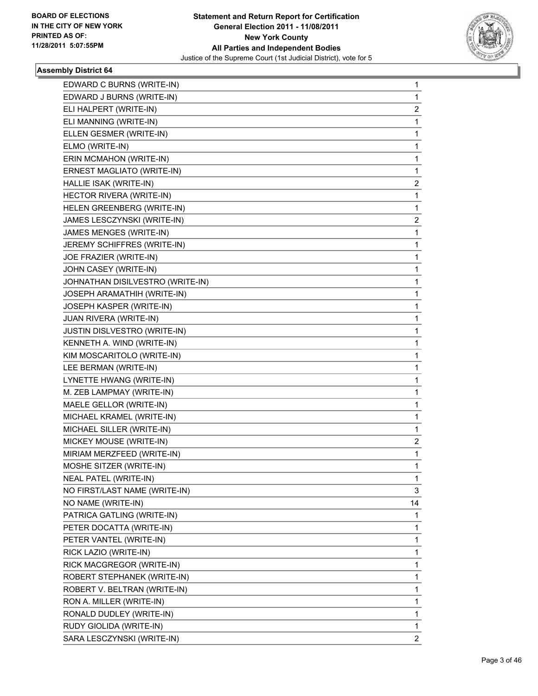

| EDWARD C BURNS (WRITE-IN)        | 1            |
|----------------------------------|--------------|
| EDWARD J BURNS (WRITE-IN)        | 1            |
| ELI HALPERT (WRITE-IN)           | 2            |
| ELI MANNING (WRITE-IN)           | 1            |
| ELLEN GESMER (WRITE-IN)          | 1            |
| ELMO (WRITE-IN)                  | 1            |
| ERIN MCMAHON (WRITE-IN)          | 1            |
| ERNEST MAGLIATO (WRITE-IN)       | 1            |
| HALLIE ISAK (WRITE-IN)           | 2            |
| HECTOR RIVERA (WRITE-IN)         | 1            |
| HELEN GREENBERG (WRITE-IN)       | 1            |
| JAMES LESCZYNSKI (WRITE-IN)      | 2            |
| JAMES MENGES (WRITE-IN)          | 1            |
| JEREMY SCHIFFRES (WRITE-IN)      | 1            |
| JOE FRAZIER (WRITE-IN)           | 1            |
| JOHN CASEY (WRITE-IN)            | 1            |
| JOHNATHAN DISILVESTRO (WRITE-IN) | 1            |
| JOSEPH ARAMATHIH (WRITE-IN)      | 1            |
| JOSEPH KASPER (WRITE-IN)         | 1            |
| JUAN RIVERA (WRITE-IN)           | 1            |
| JUSTIN DISLVESTRO (WRITE-IN)     | 1            |
| KENNETH A. WIND (WRITE-IN)       | 1            |
| KIM MOSCARITOLO (WRITE-IN)       | 1            |
| LEE BERMAN (WRITE-IN)            | 1            |
| LYNETTE HWANG (WRITE-IN)         | 1            |
| M. ZEB LAMPMAY (WRITE-IN)        | 1            |
| MAELE GELLOR (WRITE-IN)          | 1            |
| MICHAEL KRAMEL (WRITE-IN)        | 1            |
| MICHAEL SILLER (WRITE-IN)        | 1            |
| MICKEY MOUSE (WRITE-IN)          | 2            |
| MIRIAM MERZFEED (WRITE-IN)       | 1            |
| MOSHE SITZER (WRITE-IN)          | 1            |
| NEAL PATEL (WRITE-IN)            | 1            |
| NO FIRST/LAST NAME (WRITE-IN)    | 3            |
| NO NAME (WRITE-IN)               | 14           |
| PATRICA GATLING (WRITE-IN)       | 1            |
| PETER DOCATTA (WRITE-IN)         | 1            |
| PETER VANTEL (WRITE-IN)          | 1            |
| RICK LAZIO (WRITE-IN)            | 1            |
| RICK MACGREGOR (WRITE-IN)        | 1            |
| ROBERT STEPHANEK (WRITE-IN)      | 1            |
| ROBERT V. BELTRAN (WRITE-IN)     | 1            |
| RON A. MILLER (WRITE-IN)         | 1            |
| RONALD DUDLEY (WRITE-IN)         | 1            |
| RUDY GIOLIDA (WRITE-IN)          | 1            |
| SARA LESCZYNSKI (WRITE-IN)       | $\mathbf{2}$ |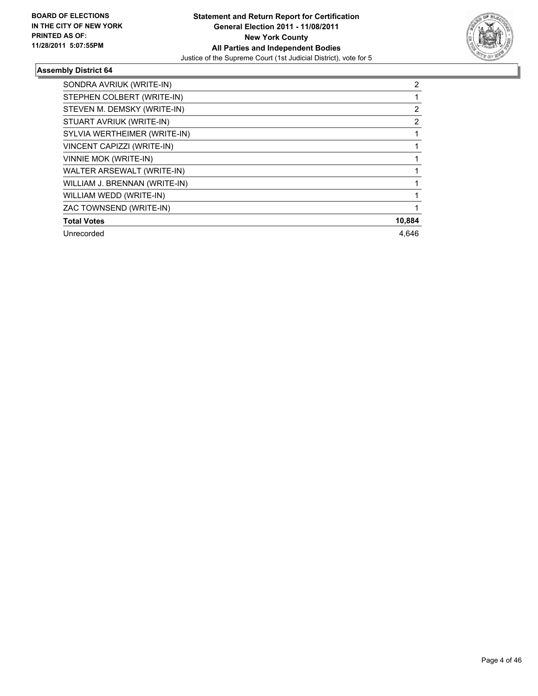

| SONDRA AVRIUK (WRITE-IN)      | 2              |
|-------------------------------|----------------|
| STEPHEN COLBERT (WRITE-IN)    |                |
| STEVEN M. DEMSKY (WRITE-IN)   | 2              |
| STUART AVRIUK (WRITE-IN)      | $\overline{2}$ |
| SYLVIA WERTHEIMER (WRITE-IN)  |                |
| VINCENT CAPIZZI (WRITE-IN)    |                |
| <b>VINNIE MOK (WRITE-IN)</b>  |                |
| WALTER ARSEWALT (WRITE-IN)    |                |
| WILLIAM J. BRENNAN (WRITE-IN) |                |
| WILLIAM WEDD (WRITE-IN)       |                |
| ZAC TOWNSEND (WRITE-IN)       |                |
| <b>Total Votes</b>            | 10,884         |
| Unrecorded                    | 4.646          |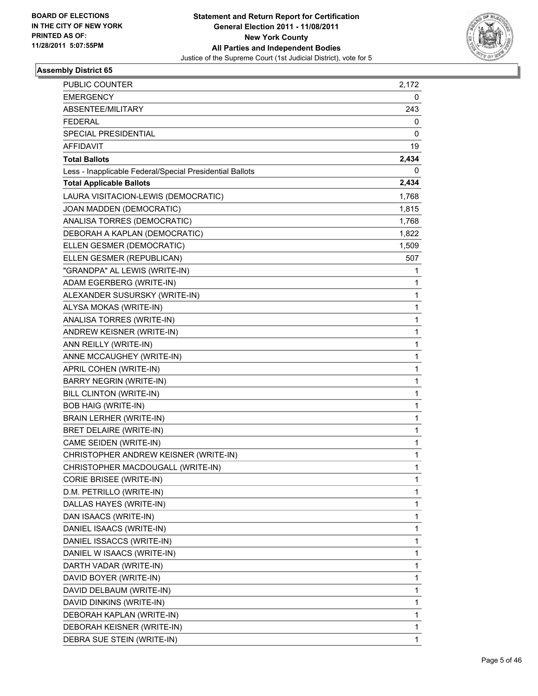

| PUBLIC COUNTER                                           | 2,172 |
|----------------------------------------------------------|-------|
| <b>EMERGENCY</b>                                         | 0     |
| ABSENTEE/MILITARY                                        | 243   |
| <b>FEDERAL</b>                                           | 0     |
| <b>SPECIAL PRESIDENTIAL</b>                              | 0     |
| AFFIDAVIT                                                | 19    |
| <b>Total Ballots</b>                                     | 2,434 |
| Less - Inapplicable Federal/Special Presidential Ballots | 0     |
| <b>Total Applicable Ballots</b>                          | 2,434 |
| LAURA VISITACION-LEWIS (DEMOCRATIC)                      | 1,768 |
| JOAN MADDEN (DEMOCRATIC)                                 | 1,815 |
| ANALISA TORRES (DEMOCRATIC)                              | 1,768 |
| DEBORAH A KAPLAN (DEMOCRATIC)                            | 1,822 |
| ELLEN GESMER (DEMOCRATIC)                                | 1,509 |
| ELLEN GESMER (REPUBLICAN)                                | 507   |
| "GRANDPA" AL LEWIS (WRITE-IN)                            | 1     |
| ADAM EGERBERG (WRITE-IN)                                 | 1     |
| ALEXANDER SUSURSKY (WRITE-IN)                            | 1     |
| ALYSA MOKAS (WRITE-IN)                                   | 1     |
| ANALISA TORRES (WRITE-IN)                                | 1     |
| ANDREW KEISNER (WRITE-IN)                                | 1     |
| ANN REILLY (WRITE-IN)                                    | 1     |
| ANNE MCCAUGHEY (WRITE-IN)                                | 1     |
| APRIL COHEN (WRITE-IN)                                   | 1     |
| <b>BARRY NEGRIN (WRITE-IN)</b>                           | 1     |
| <b>BILL CLINTON (WRITE-IN)</b>                           | 1     |
| <b>BOB HAIG (WRITE-IN)</b>                               | 1     |
| <b>BRAIN LERHER (WRITE-IN)</b>                           | 1     |
| <b>BRET DELAIRE (WRITE-IN)</b>                           | 1     |
| CAME SEIDEN (WRITE-IN)                                   | 1     |
| CHRISTOPHER ANDREW KEISNER (WRITE-IN)                    | 1     |
| CHRISTOPHER MACDOUGALL (WRITE-IN)                        | 1     |
| CORIE BRISEE (WRITE-IN)                                  | 1     |
| D.M. PETRILLO (WRITE-IN)                                 | 1     |
| DALLAS HAYES (WRITE-IN)                                  | 1     |
| DAN ISAACS (WRITE-IN)                                    | 1     |
| DANIEL ISAACS (WRITE-IN)                                 | 1     |
| DANIEL ISSACCS (WRITE-IN)                                | 1     |
| DANIEL W ISAACS (WRITE-IN)                               | 1     |
| DARTH VADAR (WRITE-IN)                                   | 1     |
| DAVID BOYER (WRITE-IN)                                   | 1     |
| DAVID DELBAUM (WRITE-IN)                                 | 1     |
| DAVID DINKINS (WRITE-IN)                                 | 1     |
| DEBORAH KAPLAN (WRITE-IN)                                | 1     |
| DEBORAH KEISNER (WRITE-IN)                               | 1     |
| DEBRA SUE STEIN (WRITE-IN)                               | 1     |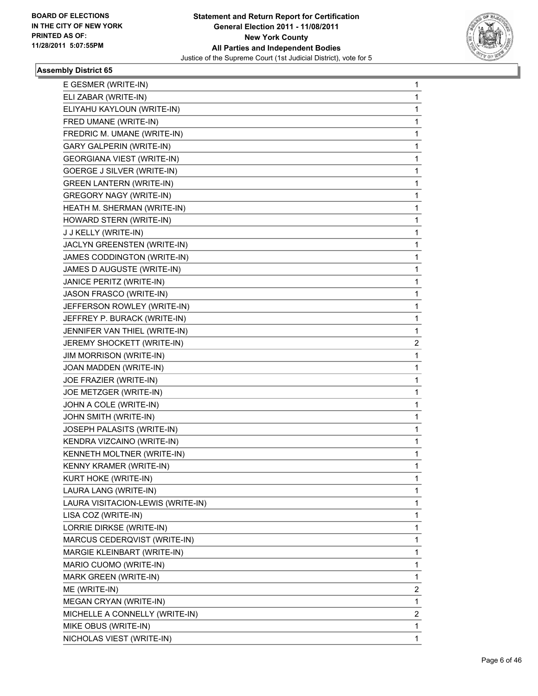

| E GESMER (WRITE-IN)               | 1 |
|-----------------------------------|---|
| ELI ZABAR (WRITE-IN)              | 1 |
| ELIYAHU KAYLOUN (WRITE-IN)        | 1 |
| FRED UMANE (WRITE-IN)             | 1 |
| FREDRIC M. UMANE (WRITE-IN)       | 1 |
| <b>GARY GALPERIN (WRITE-IN)</b>   | 1 |
| <b>GEORGIANA VIEST (WRITE-IN)</b> | 1 |
| GOERGE J SILVER (WRITE-IN)        | 1 |
| <b>GREEN LANTERN (WRITE-IN)</b>   | 1 |
| <b>GREGORY NAGY (WRITE-IN)</b>    | 1 |
| HEATH M. SHERMAN (WRITE-IN)       | 1 |
| HOWARD STERN (WRITE-IN)           | 1 |
| J J KELLY (WRITE-IN)              | 1 |
| JACLYN GREENSTEN (WRITE-IN)       | 1 |
| JAMES CODDINGTON (WRITE-IN)       | 1 |
| JAMES D AUGUSTE (WRITE-IN)        | 1 |
| JANICE PERITZ (WRITE-IN)          | 1 |
| JASON FRASCO (WRITE-IN)           | 1 |
| JEFFERSON ROWLEY (WRITE-IN)       | 1 |
| JEFFREY P. BURACK (WRITE-IN)      | 1 |
| JENNIFER VAN THIEL (WRITE-IN)     | 1 |
| JEREMY SHOCKETT (WRITE-IN)        | 2 |
| <b>JIM MORRISON (WRITE-IN)</b>    | 1 |
| JOAN MADDEN (WRITE-IN)            | 1 |
| JOE FRAZIER (WRITE-IN)            | 1 |
| JOE METZGER (WRITE-IN)            | 1 |
| JOHN A COLE (WRITE-IN)            | 1 |
| JOHN SMITH (WRITE-IN)             | 1 |
| JOSEPH PALASITS (WRITE-IN)        | 1 |
| KENDRA VIZCAINO (WRITE-IN)        | 1 |
| KENNETH MOLTNER (WRITE-IN)        | 1 |
| KENNY KRAMER (WRITE-IN)           | 1 |
| KURT HOKE (WRITE-IN)              | 1 |
| LAURA LANG (WRITE-IN)             | 1 |
| LAURA VISITACION-LEWIS (WRITE-IN) | 1 |
| LISA COZ (WRITE-IN)               | 1 |
| LORRIE DIRKSE (WRITE-IN)          | 1 |
| MARCUS CEDERQVIST (WRITE-IN)      | 1 |
| MARGIE KLEINBART (WRITE-IN)       | 1 |
| MARIO CUOMO (WRITE-IN)            | 1 |
| MARK GREEN (WRITE-IN)             | 1 |
| ME (WRITE-IN)                     | 2 |
| MEGAN CRYAN (WRITE-IN)            | 1 |
| MICHELLE A CONNELLY (WRITE-IN)    | 2 |
|                                   |   |
| MIKE OBUS (WRITE-IN)              | 1 |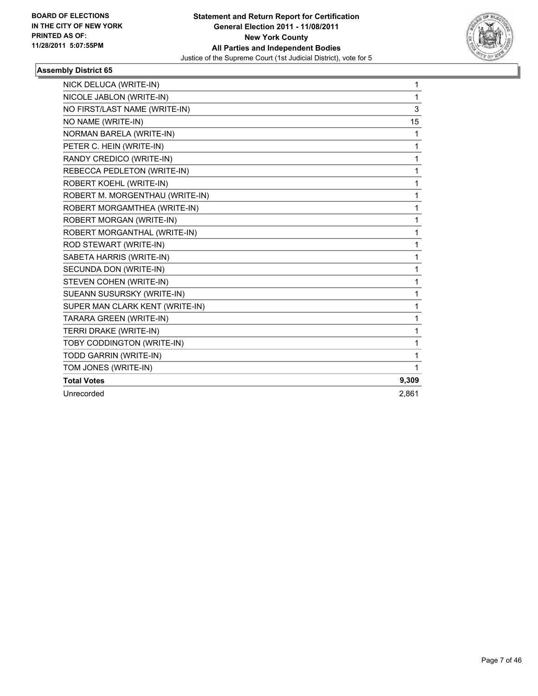

| NICK DELUCA (WRITE-IN)          | 1     |
|---------------------------------|-------|
| NICOLE JABLON (WRITE-IN)        | 1     |
| NO FIRST/LAST NAME (WRITE-IN)   | 3     |
| NO NAME (WRITE-IN)              | 15    |
| <b>NORMAN BARELA (WRITE-IN)</b> | 1     |
| PETER C. HEIN (WRITE-IN)        | 1     |
| RANDY CREDICO (WRITE-IN)        | 1     |
| REBECCA PEDLETON (WRITE-IN)     | 1     |
| ROBERT KOEHL (WRITE-IN)         | 1     |
| ROBERT M. MORGENTHAU (WRITE-IN) | 1     |
| ROBERT MORGAMTHEA (WRITE-IN)    | 1     |
| ROBERT MORGAN (WRITE-IN)        | 1     |
| ROBERT MORGANTHAL (WRITE-IN)    | 1     |
| ROD STEWART (WRITE-IN)          | 1     |
| SABETA HARRIS (WRITE-IN)        | 1     |
| SECUNDA DON (WRITE-IN)          | 1     |
| STEVEN COHEN (WRITE-IN)         | 1     |
| SUEANN SUSURSKY (WRITE-IN)      | 1     |
| SUPER MAN CLARK KENT (WRITE-IN) | 1     |
| TARARA GREEN (WRITE-IN)         | 1     |
| TERRI DRAKE (WRITE-IN)          | 1     |
| TOBY CODDINGTON (WRITE-IN)      | 1     |
| TODD GARRIN (WRITE-IN)          | 1     |
| TOM JONES (WRITE-IN)            | 1     |
| <b>Total Votes</b>              | 9,309 |
| Unrecorded                      | 2.861 |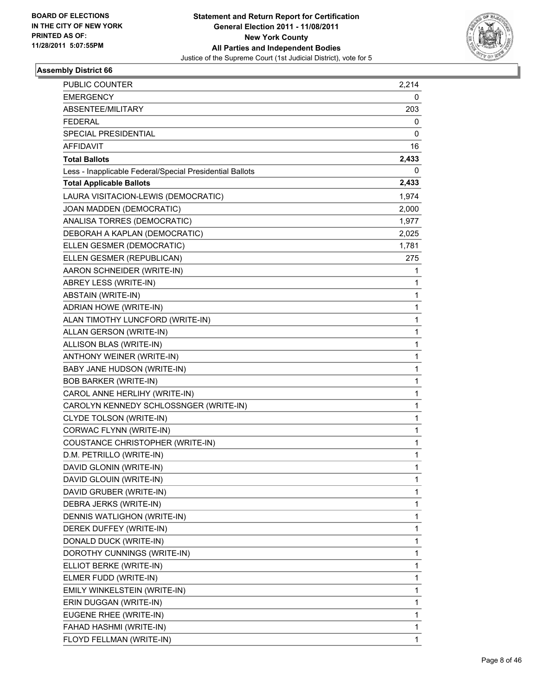

| PUBLIC COUNTER                                           | 2,214       |
|----------------------------------------------------------|-------------|
| <b>EMERGENCY</b>                                         | 0           |
| ABSENTEE/MILITARY                                        | 203         |
| <b>FEDERAL</b>                                           | 0           |
| SPECIAL PRESIDENTIAL                                     | 0           |
| AFFIDAVIT                                                | 16          |
| <b>Total Ballots</b>                                     | 2,433       |
| Less - Inapplicable Federal/Special Presidential Ballots | 0           |
| <b>Total Applicable Ballots</b>                          | 2,433       |
| LAURA VISITACION-LEWIS (DEMOCRATIC)                      | 1,974       |
| JOAN MADDEN (DEMOCRATIC)                                 | 2,000       |
| ANALISA TORRES (DEMOCRATIC)                              | 1,977       |
| DEBORAH A KAPLAN (DEMOCRATIC)                            | 2,025       |
| ELLEN GESMER (DEMOCRATIC)                                | 1,781       |
| ELLEN GESMER (REPUBLICAN)                                | 275         |
| AARON SCHNEIDER (WRITE-IN)                               | 1           |
| ABREY LESS (WRITE-IN)                                    | 1           |
| ABSTAIN (WRITE-IN)                                       | 1           |
| ADRIAN HOWE (WRITE-IN)                                   | 1           |
| ALAN TIMOTHY LUNCFORD (WRITE-IN)                         | 1           |
| ALLAN GERSON (WRITE-IN)                                  | 1           |
| ALLISON BLAS (WRITE-IN)                                  | 1           |
| ANTHONY WEINER (WRITE-IN)                                | 1           |
| BABY JANE HUDSON (WRITE-IN)                              | $\mathbf 1$ |
| <b>BOB BARKER (WRITE-IN)</b>                             | 1           |
| CAROL ANNE HERLIHY (WRITE-IN)                            | 1           |
| CAROLYN KENNEDY SCHLOSSNGER (WRITE-IN)                   | 1           |
| CLYDE TOLSON (WRITE-IN)                                  | 1           |
| CORWAC FLYNN (WRITE-IN)                                  | 1           |
| COUSTANCE CHRISTOPHER (WRITE-IN)                         | $\mathbf 1$ |
| D.M. PETRILLO (WRITE-IN)                                 | 1           |
| DAVID GLONIN (WRITE-IN)                                  | 1           |
| DAVID GLOUIN (WRITE-IN)                                  | 1           |
| DAVID GRUBER (WRITE-IN)                                  | 1           |
| DEBRA JERKS (WRITE-IN)                                   | 1           |
| DENNIS WATLIGHON (WRITE-IN)                              | 1           |
| DEREK DUFFEY (WRITE-IN)                                  | 1           |
| DONALD DUCK (WRITE-IN)                                   | 1           |
| DOROTHY CUNNINGS (WRITE-IN)                              | 1           |
| ELLIOT BERKE (WRITE-IN)                                  | 1           |
| ELMER FUDD (WRITE-IN)                                    | 1           |
| EMILY WINKELSTEIN (WRITE-IN)                             | 1           |
| ERIN DUGGAN (WRITE-IN)                                   | 1           |
| EUGENE RHEE (WRITE-IN)                                   | 1           |
| FAHAD HASHMI (WRITE-IN)                                  | 1           |
| FLOYD FELLMAN (WRITE-IN)                                 | 1           |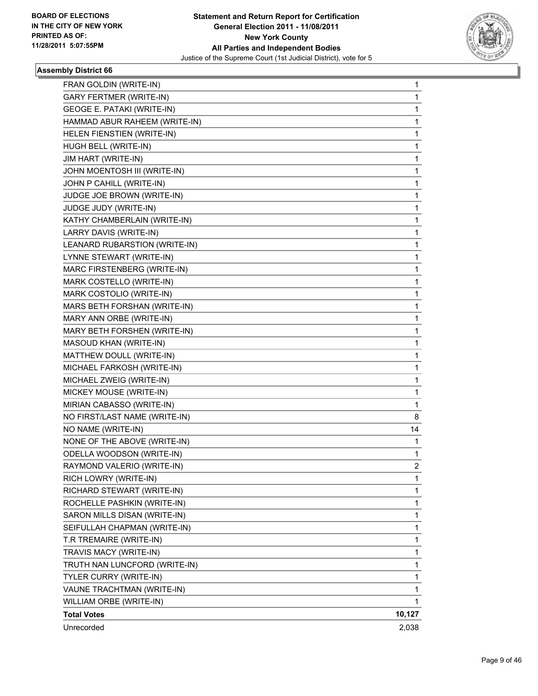

| FRAN GOLDIN (WRITE-IN)            | 1              |
|-----------------------------------|----------------|
| <b>GARY FERTMER (WRITE-IN)</b>    | 1              |
| <b>GEOGE E. PATAKI (WRITE-IN)</b> | 1              |
| HAMMAD ABUR RAHEEM (WRITE-IN)     | 1              |
| HELEN FIENSTIEN (WRITE-IN)        | 1              |
| HUGH BELL (WRITE-IN)              | 1              |
| <b>JIM HART (WRITE-IN)</b>        | 1              |
| JOHN MOENTOSH III (WRITE-IN)      | 1              |
| JOHN P CAHILL (WRITE-IN)          | 1              |
| JUDGE JOE BROWN (WRITE-IN)        | 1              |
| JUDGE JUDY (WRITE-IN)             | 1              |
| KATHY CHAMBERLAIN (WRITE-IN)      | 1              |
| LARRY DAVIS (WRITE-IN)            | 1              |
| LEANARD RUBARSTION (WRITE-IN)     | 1              |
| LYNNE STEWART (WRITE-IN)          | 1              |
| MARC FIRSTENBERG (WRITE-IN)       | 1              |
| MARK COSTELLO (WRITE-IN)          | 1              |
| MARK COSTOLIO (WRITE-IN)          | 1              |
| MARS BETH FORSHAN (WRITE-IN)      | 1              |
| MARY ANN ORBE (WRITE-IN)          | 1              |
| MARY BETH FORSHEN (WRITE-IN)      | 1              |
| MASOUD KHAN (WRITE-IN)            | 1              |
| MATTHEW DOULL (WRITE-IN)          | 1              |
| MICHAEL FARKOSH (WRITE-IN)        | 1              |
| MICHAEL ZWEIG (WRITE-IN)          | 1              |
| MICKEY MOUSE (WRITE-IN)           | 1              |
| MIRIAN CABASSO (WRITE-IN)         | 1              |
| NO FIRST/LAST NAME (WRITE-IN)     | 8              |
| NO NAME (WRITE-IN)                | 14             |
| NONE OF THE ABOVE (WRITE-IN)      | 1              |
| ODELLA WOODSON (WRITE-IN)         | 1              |
| RAYMOND VALERIO (WRITE-IN)        | $\overline{2}$ |
| RICH LOWRY (WRITE-IN)             | 1              |
| RICHARD STEWART (WRITE-IN)        | 1              |
| ROCHELLE PASHKIN (WRITE-IN)       | 1              |
| SARON MILLS DISAN (WRITE-IN)      | 1              |
| SEIFULLAH CHAPMAN (WRITE-IN)      | 1              |
| T.R TREMAIRE (WRITE-IN)           | 1              |
| TRAVIS MACY (WRITE-IN)            | 1              |
| TRUTH NAN LUNCFORD (WRITE-IN)     | 1              |
| TYLER CURRY (WRITE-IN)            | 1              |
| VAUNE TRACHTMAN (WRITE-IN)        | 1              |
| WILLIAM ORBE (WRITE-IN)           | 1              |
| <b>Total Votes</b>                | 10,127         |
| Unrecorded                        | 2,038          |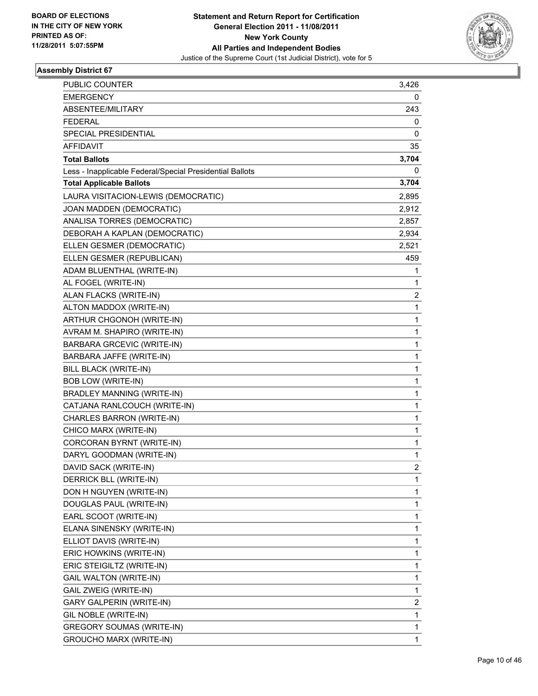

| PUBLIC COUNTER                                           | 3,426          |
|----------------------------------------------------------|----------------|
| <b>EMERGENCY</b>                                         | 0              |
| ABSENTEE/MILITARY                                        | 243            |
| <b>FEDERAL</b>                                           | 0              |
| SPECIAL PRESIDENTIAL                                     | 0              |
| <b>AFFIDAVIT</b>                                         | 35             |
| <b>Total Ballots</b>                                     | 3,704          |
| Less - Inapplicable Federal/Special Presidential Ballots | 0              |
| <b>Total Applicable Ballots</b>                          | 3,704          |
| LAURA VISITACION-LEWIS (DEMOCRATIC)                      | 2,895          |
| JOAN MADDEN (DEMOCRATIC)                                 | 2,912          |
| ANALISA TORRES (DEMOCRATIC)                              | 2,857          |
| DEBORAH A KAPLAN (DEMOCRATIC)                            | 2,934          |
| ELLEN GESMER (DEMOCRATIC)                                | 2,521          |
| ELLEN GESMER (REPUBLICAN)                                | 459            |
| ADAM BLUENTHAL (WRITE-IN)                                | 1              |
| AL FOGEL (WRITE-IN)                                      | 1              |
| ALAN FLACKS (WRITE-IN)                                   | 2              |
| ALTON MADDOX (WRITE-IN)                                  | 1              |
| ARTHUR CHGONOH (WRITE-IN)                                | 1              |
| AVRAM M. SHAPIRO (WRITE-IN)                              | 1              |
| <b>BARBARA GRCEVIC (WRITE-IN)</b>                        | 1              |
| BARBARA JAFFE (WRITE-IN)                                 | 1              |
| <b>BILL BLACK (WRITE-IN)</b>                             | 1              |
| <b>BOB LOW (WRITE-IN)</b>                                | 1              |
| <b>BRADLEY MANNING (WRITE-IN)</b>                        | 1              |
| CATJANA RANLCOUCH (WRITE-IN)                             | 1              |
| CHARLES BARRON (WRITE-IN)                                | 1              |
| CHICO MARX (WRITE-IN)                                    | 1              |
| CORCORAN BYRNT (WRITE-IN)                                | 1              |
| DARYL GOODMAN (WRITE-IN)                                 | $\mathbf{1}$   |
| DAVID SACK (WRITE-IN)                                    | $\overline{2}$ |
| DERRICK BLL (WRITE-IN)                                   | 1              |
| DON H NGUYEN (WRITE-IN)                                  | 1              |
| DOUGLAS PAUL (WRITE-IN)                                  | 1              |
| EARL SCOOT (WRITE-IN)                                    | 1              |
| ELANA SINENSKY (WRITE-IN)                                | $\mathbf 1$    |
| ELLIOT DAVIS (WRITE-IN)                                  | 1              |
| ERIC HOWKINS (WRITE-IN)                                  | 1              |
| ERIC STEIGILTZ (WRITE-IN)                                | 1              |
| <b>GAIL WALTON (WRITE-IN)</b>                            | 1              |
| GAIL ZWEIG (WRITE-IN)                                    | 1              |
| <b>GARY GALPERIN (WRITE-IN)</b>                          | 2              |
| GIL NOBLE (WRITE-IN)                                     | 1              |
| <b>GREGORY SOUMAS (WRITE-IN)</b>                         | 1              |
| <b>GROUCHO MARX (WRITE-IN)</b>                           | $\mathbf{1}$   |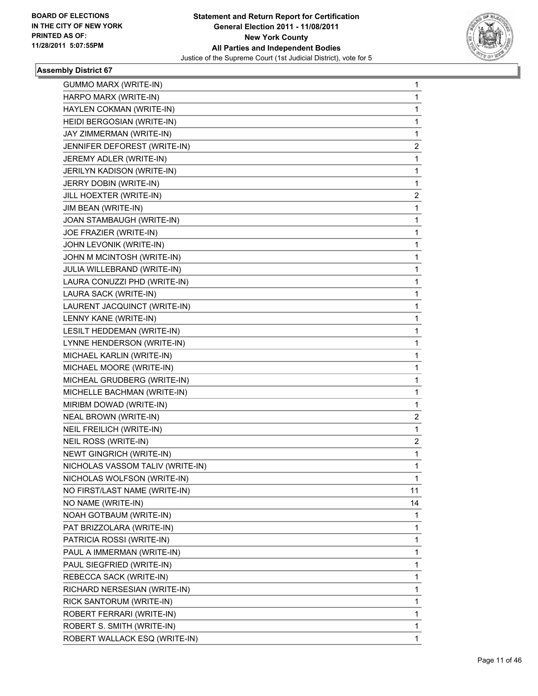

| <b>GUMMO MARX (WRITE-IN)</b>     | 1            |
|----------------------------------|--------------|
| HARPO MARX (WRITE-IN)            | 1            |
| HAYLEN COKMAN (WRITE-IN)         | $\mathbf{1}$ |
| HEIDI BERGOSIAN (WRITE-IN)       | 1            |
| JAY ZIMMERMAN (WRITE-IN)         | 1            |
| JENNIFER DEFOREST (WRITE-IN)     | 2            |
| JEREMY ADLER (WRITE-IN)          | 1            |
| JERILYN KADISON (WRITE-IN)       | 1            |
| JERRY DOBIN (WRITE-IN)           | 1            |
| JILL HOEXTER (WRITE-IN)          | 2            |
| JIM BEAN (WRITE-IN)              | 1            |
| JOAN STAMBAUGH (WRITE-IN)        | 1            |
| JOE FRAZIER (WRITE-IN)           | 1            |
| JOHN LEVONIK (WRITE-IN)          | 1            |
| JOHN M MCINTOSH (WRITE-IN)       | 1            |
| JULIA WILLEBRAND (WRITE-IN)      | 1            |
| LAURA CONUZZI PHD (WRITE-IN)     | 1            |
| LAURA SACK (WRITE-IN)            | 1            |
| LAURENT JACQUINCT (WRITE-IN)     | 1            |
| LENNY KANE (WRITE-IN)            | 1            |
| LESILT HEDDEMAN (WRITE-IN)       | 1            |
| LYNNE HENDERSON (WRITE-IN)       | 1            |
| MICHAEL KARLIN (WRITE-IN)        | 1            |
| MICHAEL MOORE (WRITE-IN)         | 1            |
| MICHEAL GRUDBERG (WRITE-IN)      | 1            |
| MICHELLE BACHMAN (WRITE-IN)      | 1            |
| MIRIBM DOWAD (WRITE-IN)          | 1            |
| NEAL BROWN (WRITE-IN)            | 2            |
| NEIL FREILICH (WRITE-IN)         | 1            |
| NEIL ROSS (WRITE-IN)             | 2            |
| <b>NEWT GINGRICH (WRITE-IN)</b>  | 1            |
| NICHOLAS VASSOM TALIV (WRITE-IN) | 1            |
| NICHOLAS WOLFSON (WRITE-IN)      | 1            |
| NO FIRST/LAST NAME (WRITE-IN)    | 11           |
| NO NAME (WRITE-IN)               | 14           |
| NOAH GOTBAUM (WRITE-IN)          | 1            |
| PAT BRIZZOLARA (WRITE-IN)        | 1            |
| PATRICIA ROSSI (WRITE-IN)        | 1            |
| PAUL A IMMERMAN (WRITE-IN)       | 1            |
| PAUL SIEGFRIED (WRITE-IN)        | 1            |
| REBECCA SACK (WRITE-IN)          | 1            |
| RICHARD NERSESIAN (WRITE-IN)     | 1            |
| RICK SANTORUM (WRITE-IN)         | 1            |
| ROBERT FERRARI (WRITE-IN)        | 1            |
| ROBERT S. SMITH (WRITE-IN)       | 1            |
| ROBERT WALLACK ESQ (WRITE-IN)    | 1            |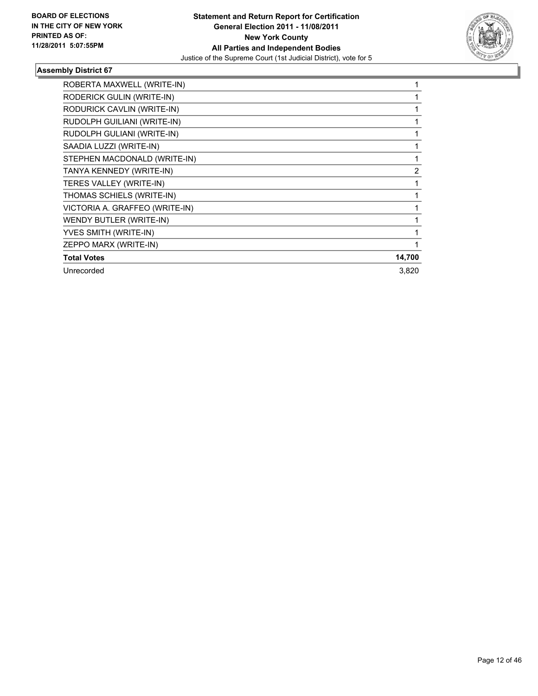

| ROBERTA MAXWELL (WRITE-IN)     |        |
|--------------------------------|--------|
| RODERICK GULIN (WRITE-IN)      |        |
| RODURICK CAVLIN (WRITE-IN)     |        |
| RUDOLPH GUILIANI (WRITE-IN)    |        |
| RUDOLPH GULIANI (WRITE-IN)     |        |
| SAADIA LUZZI (WRITE-IN)        |        |
| STEPHEN MACDONALD (WRITE-IN)   |        |
| TANYA KENNEDY (WRITE-IN)       | 2      |
| TERES VALLEY (WRITE-IN)        |        |
| THOMAS SCHIELS (WRITE-IN)      |        |
| VICTORIA A. GRAFFEO (WRITE-IN) |        |
| WENDY BUTLER (WRITE-IN)        |        |
| YVES SMITH (WRITE-IN)          |        |
| ZEPPO MARX (WRITE-IN)          |        |
| <b>Total Votes</b>             | 14,700 |
| Unrecorded                     | 3,820  |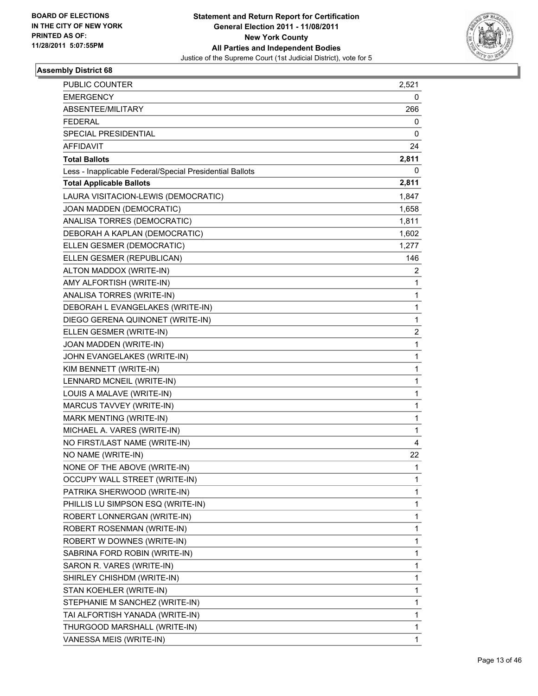

| <b>PUBLIC COUNTER</b>                                    | 2,521 |
|----------------------------------------------------------|-------|
| <b>EMERGENCY</b>                                         | 0     |
| <b>ABSENTEE/MILITARY</b>                                 | 266   |
| <b>FEDERAL</b>                                           | 0     |
| SPECIAL PRESIDENTIAL                                     | 0     |
| <b>AFFIDAVIT</b>                                         | 24    |
| <b>Total Ballots</b>                                     | 2,811 |
| Less - Inapplicable Federal/Special Presidential Ballots | 0     |
| <b>Total Applicable Ballots</b>                          | 2,811 |
| LAURA VISITACION-LEWIS (DEMOCRATIC)                      | 1,847 |
| JOAN MADDEN (DEMOCRATIC)                                 | 1,658 |
| ANALISA TORRES (DEMOCRATIC)                              | 1,811 |
| DEBORAH A KAPLAN (DEMOCRATIC)                            | 1,602 |
| ELLEN GESMER (DEMOCRATIC)                                | 1,277 |
| ELLEN GESMER (REPUBLICAN)                                | 146   |
| ALTON MADDOX (WRITE-IN)                                  | 2     |
| AMY ALFORTISH (WRITE-IN)                                 | 1     |
| ANALISA TORRES (WRITE-IN)                                | 1     |
| DEBORAH L EVANGELAKES (WRITE-IN)                         | 1     |
| DIEGO GERENA QUINONET (WRITE-IN)                         | 1     |
| ELLEN GESMER (WRITE-IN)                                  | 2     |
| JOAN MADDEN (WRITE-IN)                                   | 1     |
| JOHN EVANGELAKES (WRITE-IN)                              | 1     |
| KIM BENNETT (WRITE-IN)                                   | 1     |
| LENNARD MCNEIL (WRITE-IN)                                | 1     |
| LOUIS A MALAVE (WRITE-IN)                                | 1     |
| MARCUS TAVVEY (WRITE-IN)                                 | 1     |
| MARK MENTING (WRITE-IN)                                  | 1     |
| MICHAEL A. VARES (WRITE-IN)                              | 1     |
| NO FIRST/LAST NAME (WRITE-IN)                            | 4     |
| NO NAME (WRITE-IN)                                       | 22    |
| NONE OF THE ABOVE (WRITE-IN)                             | 1     |
| <b>OCCUPY WALL STREET (WRITE-IN)</b>                     | 1     |
| PATRIKA SHERWOOD (WRITE-IN)                              | 1     |
| PHILLIS LU SIMPSON ESQ (WRITE-IN)                        | 1     |
| ROBERT LONNERGAN (WRITE-IN)                              | 1     |
| ROBERT ROSENMAN (WRITE-IN)                               | 1     |
| ROBERT W DOWNES (WRITE-IN)                               | 1     |
| SABRINA FORD ROBIN (WRITE-IN)                            | 1     |
| SARON R. VARES (WRITE-IN)                                | 1     |
| SHIRLEY CHISHDM (WRITE-IN)                               | 1     |
| STAN KOEHLER (WRITE-IN)                                  | 1     |
| STEPHANIE M SANCHEZ (WRITE-IN)                           | 1     |
| TAI ALFORTISH YANADA (WRITE-IN)                          | 1     |
| THURGOOD MARSHALL (WRITE-IN)                             | 1     |
| VANESSA MEIS (WRITE-IN)                                  | 1     |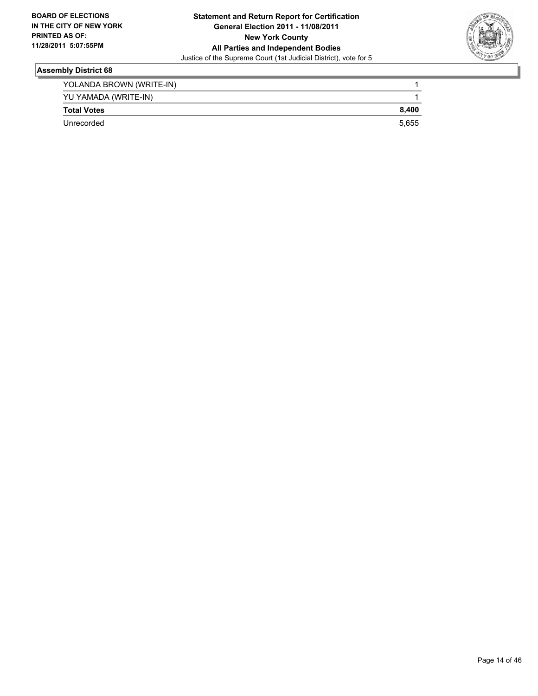

| YOLANDA BROWN (WRITE-IN) |       |
|--------------------------|-------|
| YU YAMADA (WRITE-IN)     |       |
| <b>Total Votes</b>       | 8.400 |
| Unrecorded               | 5.655 |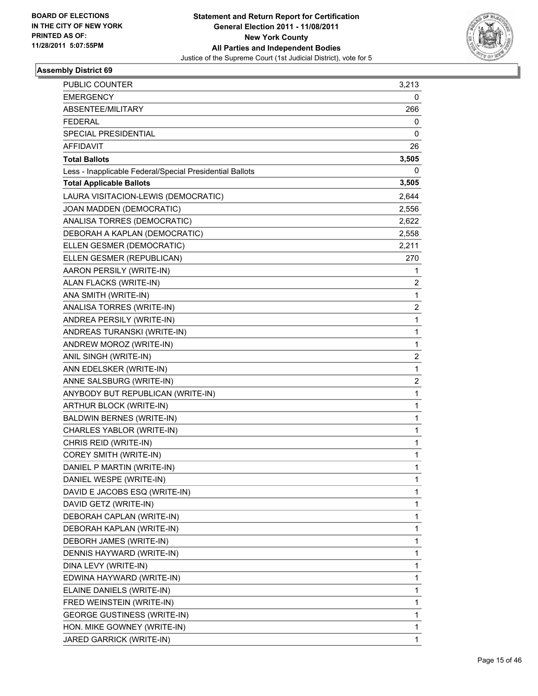

| PUBLIC COUNTER                                           | 3,213                   |
|----------------------------------------------------------|-------------------------|
| <b>EMERGENCY</b>                                         | 0                       |
| ABSENTEE/MILITARY                                        | 266                     |
| <b>FEDERAL</b>                                           | 0                       |
| SPECIAL PRESIDENTIAL                                     | 0                       |
| AFFIDAVIT                                                | 26                      |
| <b>Total Ballots</b>                                     | 3,505                   |
| Less - Inapplicable Federal/Special Presidential Ballots | 0                       |
| <b>Total Applicable Ballots</b>                          | 3,505                   |
| LAURA VISITACION-LEWIS (DEMOCRATIC)                      | 2,644                   |
| JOAN MADDEN (DEMOCRATIC)                                 | 2,556                   |
| ANALISA TORRES (DEMOCRATIC)                              | 2,622                   |
| DEBORAH A KAPLAN (DEMOCRATIC)                            | 2,558                   |
| ELLEN GESMER (DEMOCRATIC)                                | 2,211                   |
| ELLEN GESMER (REPUBLICAN)                                | 270                     |
| AARON PERSILY (WRITE-IN)                                 | 1                       |
| ALAN FLACKS (WRITE-IN)                                   | 2                       |
| ANA SMITH (WRITE-IN)                                     | 1                       |
| ANALISA TORRES (WRITE-IN)                                | 2                       |
| ANDREA PERSILY (WRITE-IN)                                | 1                       |
| ANDREAS TURANSKI (WRITE-IN)                              | 1                       |
| ANDREW MOROZ (WRITE-IN)                                  | 1                       |
| ANIL SINGH (WRITE-IN)                                    | $\overline{\mathbf{c}}$ |
| ANN EDELSKER (WRITE-IN)                                  | 1                       |
| ANNE SALSBURG (WRITE-IN)                                 | 2                       |
| ANYBODY BUT REPUBLICAN (WRITE-IN)                        | 1                       |
| ARTHUR BLOCK (WRITE-IN)                                  | 1                       |
| <b>BALDWIN BERNES (WRITE-IN)</b>                         | 1                       |
| CHARLES YABLOR (WRITE-IN)                                | 1                       |
| CHRIS REID (WRITE-IN)                                    | 1                       |
| <b>COREY SMITH (WRITE-IN)</b>                            | 1                       |
| DANIEL P MARTIN (WRITE-IN)                               | 1                       |
| DANIEL WESPE (WRITE-IN)                                  | 1                       |
| DAVID E JACOBS ESQ (WRITE-IN)                            | 1                       |
| DAVID GETZ (WRITE-IN)                                    | 1                       |
| DEBORAH CAPLAN (WRITE-IN)                                | 1                       |
| DEBORAH KAPLAN (WRITE-IN)                                | 1                       |
| DEBORH JAMES (WRITE-IN)                                  | 1                       |
| DENNIS HAYWARD (WRITE-IN)                                | 1                       |
| DINA LEVY (WRITE-IN)                                     | 1                       |
| EDWINA HAYWARD (WRITE-IN)                                | 1                       |
| ELAINE DANIELS (WRITE-IN)                                | 1                       |
| FRED WEINSTEIN (WRITE-IN)                                | 1                       |
| <b>GEORGE GUSTINESS (WRITE-IN)</b>                       | 1                       |
| HON. MIKE GOWNEY (WRITE-IN)                              | 1                       |
| JARED GARRICK (WRITE-IN)                                 | 1                       |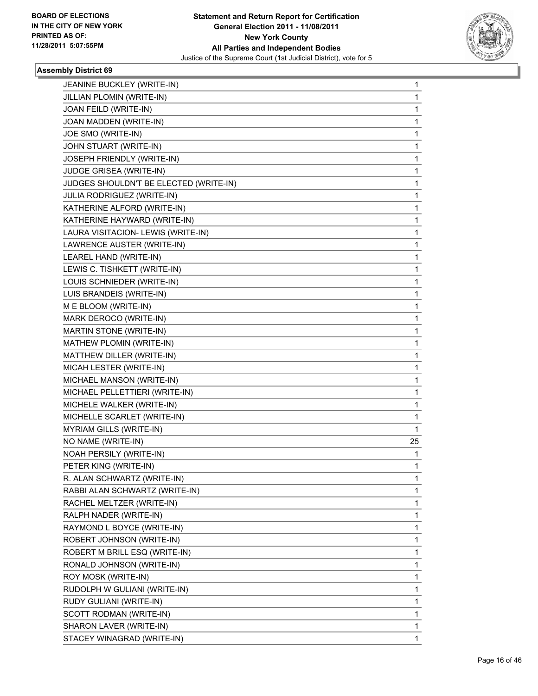

| JEANINE BUCKLEY (WRITE-IN)             | 1  |
|----------------------------------------|----|
| JILLIAN PLOMIN (WRITE-IN)              | 1  |
| JOAN FEILD (WRITE-IN)                  | 1  |
| JOAN MADDEN (WRITE-IN)                 | 1  |
| JOE SMO (WRITE-IN)                     | 1  |
| JOHN STUART (WRITE-IN)                 | 1  |
| JOSEPH FRIENDLY (WRITE-IN)             | 1  |
| JUDGE GRISEA (WRITE-IN)                | 1  |
| JUDGES SHOULDN'T BE ELECTED (WRITE-IN) | 1  |
| JULIA RODRIGUEZ (WRITE-IN)             | 1  |
| KATHERINE ALFORD (WRITE-IN)            | 1  |
| KATHERINE HAYWARD (WRITE-IN)           | 1  |
| LAURA VISITACION- LEWIS (WRITE-IN)     | 1  |
| LAWRENCE AUSTER (WRITE-IN)             | 1  |
| LEAREL HAND (WRITE-IN)                 | 1  |
| LEWIS C. TISHKETT (WRITE-IN)           | 1  |
| LOUIS SCHNIEDER (WRITE-IN)             | 1  |
| LUIS BRANDEIS (WRITE-IN)               | 1  |
| M E BLOOM (WRITE-IN)                   | 1  |
| MARK DEROCO (WRITE-IN)                 | 1  |
| MARTIN STONE (WRITE-IN)                | 1  |
| MATHEW PLOMIN (WRITE-IN)               | 1  |
| MATTHEW DILLER (WRITE-IN)              | 1  |
| MICAH LESTER (WRITE-IN)                | 1  |
| MICHAEL MANSON (WRITE-IN)              | 1  |
| MICHAEL PELLETTIERI (WRITE-IN)         | 1  |
| MICHELE WALKER (WRITE-IN)              | 1  |
| MICHELLE SCARLET (WRITE-IN)            | 1  |
| MYRIAM GILLS (WRITE-IN)                | 1  |
| NO NAME (WRITE-IN)                     | 25 |
| NOAH PERSILY (WRITE-IN)                | 1  |
| PETER KING (WRITE-IN)                  | 1  |
| R. ALAN SCHWARTZ (WRITE-IN)            | 1  |
| RABBI ALAN SCHWARTZ (WRITE-IN)         | 1  |
| RACHEL MELTZER (WRITE-IN)              | 1  |
| RALPH NADER (WRITE-IN)                 | 1  |
| RAYMOND L BOYCE (WRITE-IN)             | 1  |
| ROBERT JOHNSON (WRITE-IN)              | 1  |
| ROBERT M BRILL ESQ (WRITE-IN)          | 1  |
| RONALD JOHNSON (WRITE-IN)              | 1  |
| ROY MOSK (WRITE-IN)                    | 1  |
| RUDOLPH W GULIANI (WRITE-IN)           | 1  |
| RUDY GULIANI (WRITE-IN)                | 1  |
| SCOTT RODMAN (WRITE-IN)                | 1  |
| SHARON LAVER (WRITE-IN)                | 1  |
| STACEY WINAGRAD (WRITE-IN)             | 1  |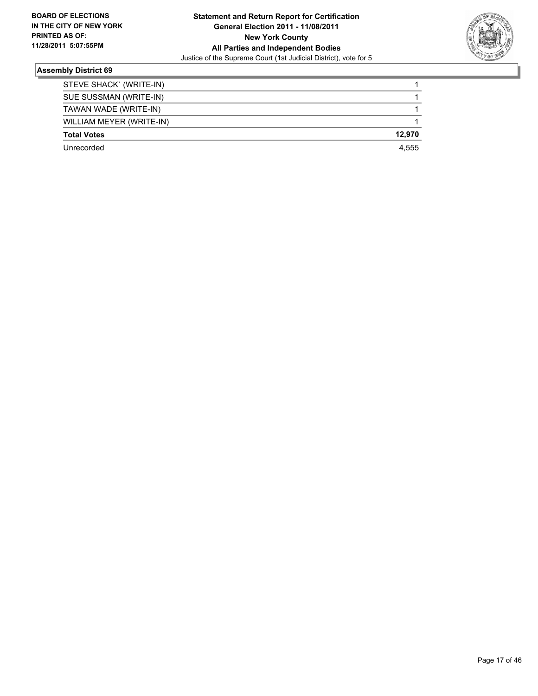

| STEVE SHACK` (WRITE-IN)  |        |
|--------------------------|--------|
| SUE SUSSMAN (WRITE-IN)   |        |
| TAWAN WADE (WRITE-IN)    |        |
| WILLIAM MEYER (WRITE-IN) |        |
| <b>Total Votes</b>       | 12.970 |
| Unrecorded               | 4.555  |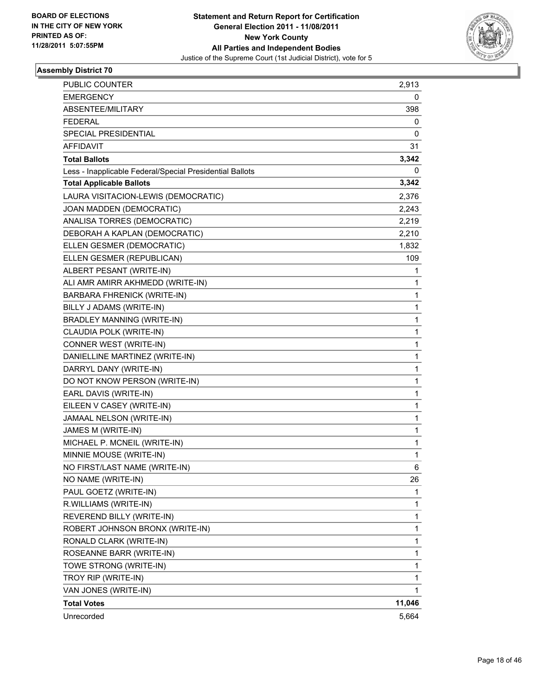

| PUBLIC COUNTER                                           | 2,913  |
|----------------------------------------------------------|--------|
| <b>EMERGENCY</b>                                         | 0      |
| ABSENTEE/MILITARY                                        | 398    |
| <b>FEDERAL</b>                                           | 0      |
| <b>SPECIAL PRESIDENTIAL</b>                              | 0      |
| AFFIDAVIT                                                | 31     |
| <b>Total Ballots</b>                                     | 3,342  |
| Less - Inapplicable Federal/Special Presidential Ballots | 0      |
| <b>Total Applicable Ballots</b>                          | 3,342  |
| LAURA VISITACION-LEWIS (DEMOCRATIC)                      | 2,376  |
| JOAN MADDEN (DEMOCRATIC)                                 | 2,243  |
| ANALISA TORRES (DEMOCRATIC)                              | 2,219  |
| DEBORAH A KAPLAN (DEMOCRATIC)                            | 2,210  |
| ELLEN GESMER (DEMOCRATIC)                                | 1,832  |
| ELLEN GESMER (REPUBLICAN)                                | 109    |
| ALBERT PESANT (WRITE-IN)                                 | 1      |
| ALI AMR AMIRR AKHMEDD (WRITE-IN)                         | 1      |
| BARBARA FHRENICK (WRITE-IN)                              | 1      |
| BILLY J ADAMS (WRITE-IN)                                 | 1      |
| BRADLEY MANNING (WRITE-IN)                               | 1      |
| CLAUDIA POLK (WRITE-IN)                                  | 1      |
| CONNER WEST (WRITE-IN)                                   | 1      |
| DANIELLINE MARTINEZ (WRITE-IN)                           | 1      |
| DARRYL DANY (WRITE-IN)                                   | 1      |
| DO NOT KNOW PERSON (WRITE-IN)                            | 1      |
| EARL DAVIS (WRITE-IN)                                    | 1      |
| EILEEN V CASEY (WRITE-IN)                                | 1      |
| JAMAAL NELSON (WRITE-IN)                                 | 1      |
| JAMES M (WRITE-IN)                                       | 1      |
| MICHAEL P. MCNEIL (WRITE-IN)                             | 1      |
| MINNIE MOUSE (WRITE-IN)                                  | 1      |
| NO FIRST/LAST NAME (WRITE-IN)                            | 6      |
| NO NAME (WRITE-IN)                                       | 26     |
| PAUL GOETZ (WRITE-IN)                                    | 1      |
| R.WILLIAMS (WRITE-IN)                                    | 1      |
| REVEREND BILLY (WRITE-IN)                                | 1      |
| ROBERT JOHNSON BRONX (WRITE-IN)                          | 1      |
| RONALD CLARK (WRITE-IN)                                  | 1      |
| ROSEANNE BARR (WRITE-IN)                                 | 1      |
| TOWE STRONG (WRITE-IN)                                   | 1      |
| TROY RIP (WRITE-IN)                                      | 1      |
| VAN JONES (WRITE-IN)                                     | 1      |
| <b>Total Votes</b>                                       | 11,046 |
| Unrecorded                                               | 5,664  |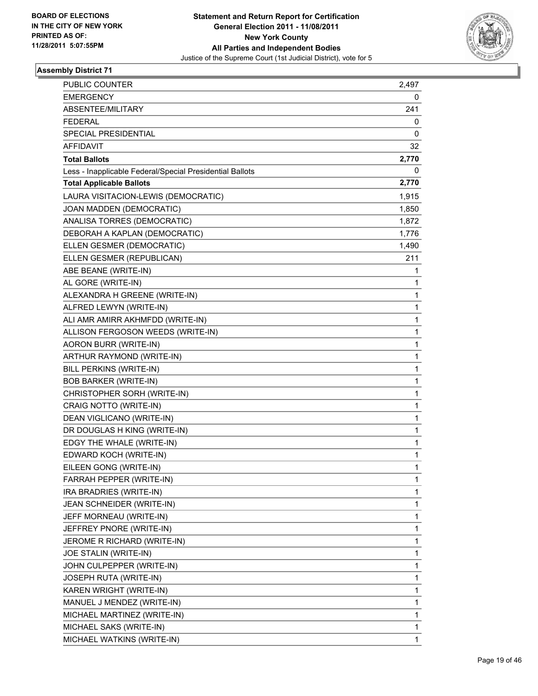

| <b>PUBLIC COUNTER</b>                                    | 2,497 |
|----------------------------------------------------------|-------|
| <b>EMERGENCY</b>                                         | 0     |
| ABSENTEE/MILITARY                                        | 241   |
| <b>FEDERAL</b>                                           | 0     |
| SPECIAL PRESIDENTIAL                                     | 0     |
| <b>AFFIDAVIT</b>                                         | 32    |
| <b>Total Ballots</b>                                     | 2,770 |
| Less - Inapplicable Federal/Special Presidential Ballots | 0     |
| <b>Total Applicable Ballots</b>                          | 2,770 |
| LAURA VISITACION-LEWIS (DEMOCRATIC)                      | 1,915 |
| JOAN MADDEN (DEMOCRATIC)                                 | 1,850 |
| ANALISA TORRES (DEMOCRATIC)                              | 1,872 |
| DEBORAH A KAPLAN (DEMOCRATIC)                            | 1,776 |
| ELLEN GESMER (DEMOCRATIC)                                | 1,490 |
| ELLEN GESMER (REPUBLICAN)                                | 211   |
| ABE BEANE (WRITE-IN)                                     | 1     |
| AL GORE (WRITE-IN)                                       | 1     |
| ALEXANDRA H GREENE (WRITE-IN)                            | 1     |
| ALFRED LEWYN (WRITE-IN)                                  | 1     |
| ALI AMR AMIRR AKHMFDD (WRITE-IN)                         | 1     |
| ALLISON FERGOSON WEEDS (WRITE-IN)                        | 1     |
| AORON BURR (WRITE-IN)                                    | 1     |
| ARTHUR RAYMOND (WRITE-IN)                                | 1     |
| BILL PERKINS (WRITE-IN)                                  | 1     |
| <b>BOB BARKER (WRITE-IN)</b>                             | 1     |
| CHRISTOPHER SORH (WRITE-IN)                              | 1     |
| CRAIG NOTTO (WRITE-IN)                                   | 1     |
| DEAN VIGLICANO (WRITE-IN)                                | 1     |
| DR DOUGLAS H KING (WRITE-IN)                             | 1     |
| EDGY THE WHALE (WRITE-IN)                                | 1     |
| EDWARD KOCH (WRITE-IN)                                   | 1     |
| EILEEN GONG (WRITE-IN)                                   | 1     |
| FARRAH PEPPER (WRITE-IN)                                 | 1     |
| IRA BRADRIES (WRITE-IN)                                  | 1     |
| JEAN SCHNEIDER (WRITE-IN)                                | 1     |
| JEFF MORNEAU (WRITE-IN)                                  | 1     |
| JEFFREY PNORE (WRITE-IN)                                 | 1     |
| JEROME R RICHARD (WRITE-IN)                              | 1     |
| JOE STALIN (WRITE-IN)                                    | 1     |
| JOHN CULPEPPER (WRITE-IN)                                | 1     |
| JOSEPH RUTA (WRITE-IN)                                   | 1     |
| KAREN WRIGHT (WRITE-IN)                                  | 1     |
| MANUEL J MENDEZ (WRITE-IN)                               | 1     |
| MICHAEL MARTINEZ (WRITE-IN)                              | 1     |
| MICHAEL SAKS (WRITE-IN)                                  | 1     |
| MICHAEL WATKINS (WRITE-IN)                               | 1     |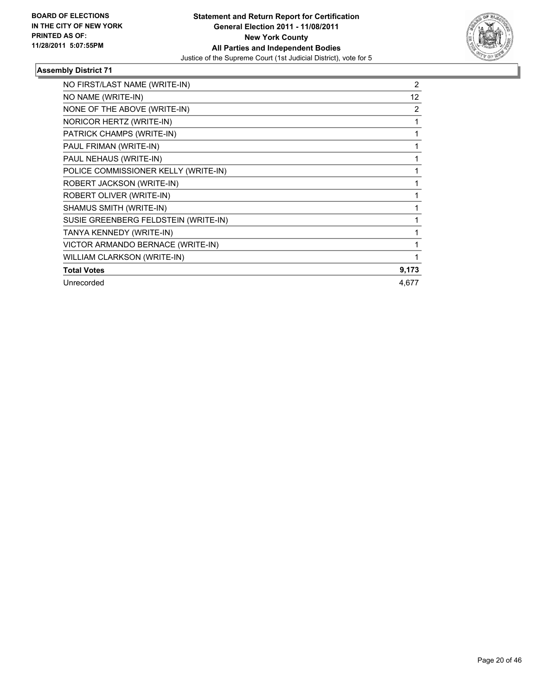

| NO FIRST/LAST NAME (WRITE-IN)        | 2     |
|--------------------------------------|-------|
| NO NAME (WRITE-IN)                   | 12    |
| NONE OF THE ABOVE (WRITE-IN)         | 2     |
| NORICOR HERTZ (WRITE-IN)             |       |
| PATRICK CHAMPS (WRITE-IN)            | 1     |
| PAUL FRIMAN (WRITE-IN)               |       |
| PAUL NEHAUS (WRITE-IN)               |       |
| POLICE COMMISSIONER KELLY (WRITE-IN) |       |
| ROBERT JACKSON (WRITE-IN)            |       |
| ROBERT OLIVER (WRITE-IN)             |       |
| SHAMUS SMITH (WRITE-IN)              |       |
| SUSIE GREENBERG FELDSTEIN (WRITE-IN) |       |
| TANYA KENNEDY (WRITE-IN)             |       |
| VICTOR ARMANDO BERNACE (WRITE-IN)    |       |
| WILLIAM CLARKSON (WRITE-IN)          |       |
| <b>Total Votes</b>                   | 9,173 |
| Unrecorded                           | 4,677 |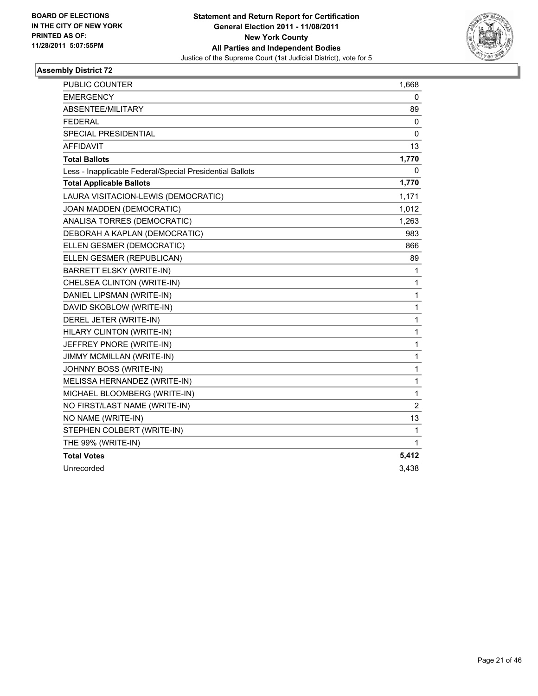

| <b>PUBLIC COUNTER</b>                                    | 1,668       |
|----------------------------------------------------------|-------------|
| <b>EMERGENCY</b>                                         | 0           |
| ABSENTEE/MILITARY                                        | 89          |
| <b>FEDERAL</b>                                           | 0           |
| <b>SPECIAL PRESIDENTIAL</b>                              | 0           |
| <b>AFFIDAVIT</b>                                         | 13          |
| <b>Total Ballots</b>                                     | 1,770       |
| Less - Inapplicable Federal/Special Presidential Ballots | 0           |
| <b>Total Applicable Ballots</b>                          | 1,770       |
| LAURA VISITACION-LEWIS (DEMOCRATIC)                      | 1,171       |
| JOAN MADDEN (DEMOCRATIC)                                 | 1,012       |
| ANALISA TORRES (DEMOCRATIC)                              | 1,263       |
| DEBORAH A KAPLAN (DEMOCRATIC)                            | 983         |
| ELLEN GESMER (DEMOCRATIC)                                | 866         |
| ELLEN GESMER (REPUBLICAN)                                | 89          |
| BARRETT ELSKY (WRITE-IN)                                 | 1           |
| CHELSEA CLINTON (WRITE-IN)                               | 1           |
| DANIEL LIPSMAN (WRITE-IN)                                | 1           |
| DAVID SKOBLOW (WRITE-IN)                                 | 1           |
| DEREL JETER (WRITE-IN)                                   | 1           |
| HILARY CLINTON (WRITE-IN)                                | 1           |
| JEFFREY PNORE (WRITE-IN)                                 | $\mathbf 1$ |
| JIMMY MCMILLAN (WRITE-IN)                                | 1           |
| JOHNNY BOSS (WRITE-IN)                                   | 1           |
| MELISSA HERNANDEZ (WRITE-IN)                             | 1           |
| MICHAEL BLOOMBERG (WRITE-IN)                             | 1           |
| NO FIRST/LAST NAME (WRITE-IN)                            | 2           |
| NO NAME (WRITE-IN)                                       | 13          |
| STEPHEN COLBERT (WRITE-IN)                               | 1           |
| THE 99% (WRITE-IN)                                       | 1           |
| <b>Total Votes</b>                                       | 5,412       |
| Unrecorded                                               | 3,438       |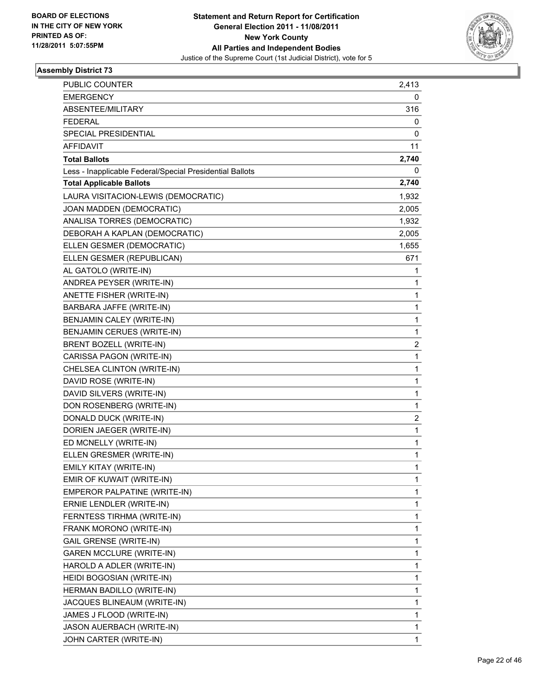

| PUBLIC COUNTER                                           | 2,413                   |
|----------------------------------------------------------|-------------------------|
| <b>EMERGENCY</b>                                         | 0                       |
| ABSENTEE/MILITARY                                        | 316                     |
| <b>FEDERAL</b>                                           | 0                       |
| SPECIAL PRESIDENTIAL                                     | 0                       |
| <b>AFFIDAVIT</b>                                         | 11                      |
| <b>Total Ballots</b>                                     | 2,740                   |
| Less - Inapplicable Federal/Special Presidential Ballots | 0                       |
| <b>Total Applicable Ballots</b>                          | 2,740                   |
| LAURA VISITACION-LEWIS (DEMOCRATIC)                      | 1,932                   |
| JOAN MADDEN (DEMOCRATIC)                                 | 2,005                   |
| ANALISA TORRES (DEMOCRATIC)                              | 1,932                   |
| DEBORAH A KAPLAN (DEMOCRATIC)                            | 2,005                   |
| ELLEN GESMER (DEMOCRATIC)                                | 1,655                   |
| ELLEN GESMER (REPUBLICAN)                                | 671                     |
| AL GATOLO (WRITE-IN)                                     | 1                       |
| ANDREA PEYSER (WRITE-IN)                                 | 1                       |
| ANETTE FISHER (WRITE-IN)                                 | 1                       |
| BARBARA JAFFE (WRITE-IN)                                 | 1                       |
| BENJAMIN CALEY (WRITE-IN)                                | 1                       |
| <b>BENJAMIN CERUES (WRITE-IN)</b>                        | 1                       |
| BRENT BOZELL (WRITE-IN)                                  | 2                       |
| CARISSA PAGON (WRITE-IN)                                 | 1                       |
| CHELSEA CLINTON (WRITE-IN)                               | 1                       |
| DAVID ROSE (WRITE-IN)                                    | 1                       |
| DAVID SILVERS (WRITE-IN)                                 | 1                       |
| DON ROSENBERG (WRITE-IN)                                 | 1                       |
| DONALD DUCK (WRITE-IN)                                   | $\overline{\mathbf{c}}$ |
| DORIEN JAEGER (WRITE-IN)                                 | 1                       |
| ED MCNELLY (WRITE-IN)                                    | 1                       |
| ELLEN GRESMER (WRITE-IN)                                 | 1                       |
| EMILY KITAY (WRITE-IN)                                   | 1                       |
| EMIR OF KUWAIT (WRITE-IN)                                | 1                       |
| EMPEROR PALPATINE (WRITE-IN)                             | 1                       |
| ERNIE LENDLER (WRITE-IN)                                 | 1                       |
| FERNTESS TIRHMA (WRITE-IN)                               | 1                       |
| FRANK MORONO (WRITE-IN)                                  | 1                       |
| <b>GAIL GRENSE (WRITE-IN)</b>                            | 1                       |
| <b>GAREN MCCLURE (WRITE-IN)</b>                          | 1                       |
| HAROLD A ADLER (WRITE-IN)                                | 1                       |
| HEIDI BOGOSIAN (WRITE-IN)                                | 1                       |
| HERMAN BADILLO (WRITE-IN)                                | 1                       |
| JACQUES BLINEAUM (WRITE-IN)                              | 1                       |
| JAMES J FLOOD (WRITE-IN)                                 | 1                       |
| JASON AUERBACH (WRITE-IN)                                | 1                       |
| JOHN CARTER (WRITE-IN)                                   | 1                       |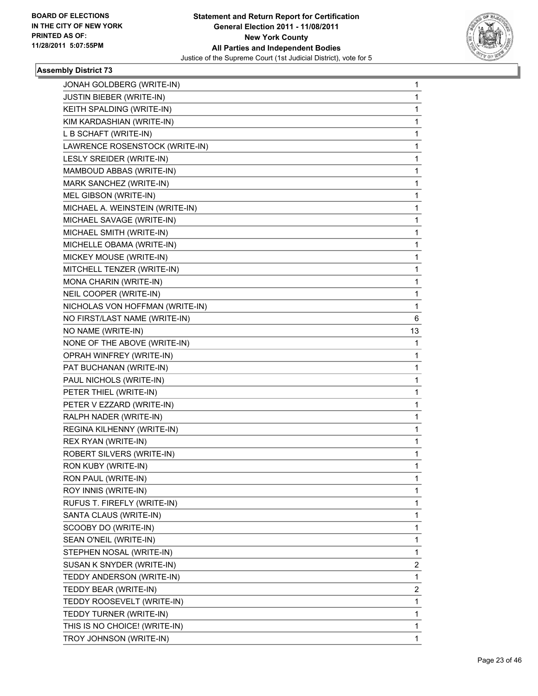

| JONAH GOLDBERG (WRITE-IN)       | $\mathbf{1}$ |
|---------------------------------|--------------|
| <b>JUSTIN BIEBER (WRITE-IN)</b> | 1            |
| KEITH SPALDING (WRITE-IN)       | 1            |
| KIM KARDASHIAN (WRITE-IN)       | $\mathbf{1}$ |
| L B SCHAFT (WRITE-IN)           | 1            |
| LAWRENCE ROSENSTOCK (WRITE-IN)  | 1            |
| LESLY SREIDER (WRITE-IN)        | 1            |
| MAMBOUD ABBAS (WRITE-IN)        | 1            |
| MARK SANCHEZ (WRITE-IN)         | 1            |
| MEL GIBSON (WRITE-IN)           | $\mathbf{1}$ |
| MICHAEL A. WEINSTEIN (WRITE-IN) | 1            |
| MICHAEL SAVAGE (WRITE-IN)       | 1            |
| MICHAEL SMITH (WRITE-IN)        | 1            |
| MICHELLE OBAMA (WRITE-IN)       | 1            |
| MICKEY MOUSE (WRITE-IN)         | 1            |
| MITCHELL TENZER (WRITE-IN)      | 1            |
| MONA CHARIN (WRITE-IN)          | 1            |
| NEIL COOPER (WRITE-IN)          | 1            |
| NICHOLAS VON HOFFMAN (WRITE-IN) | 1            |
| NO FIRST/LAST NAME (WRITE-IN)   | 6            |
| NO NAME (WRITE-IN)              | 13           |
| NONE OF THE ABOVE (WRITE-IN)    | 1            |
| OPRAH WINFREY (WRITE-IN)        | 1            |
| PAT BUCHANAN (WRITE-IN)         | 1            |
| PAUL NICHOLS (WRITE-IN)         | 1            |
| PETER THIEL (WRITE-IN)          | 1            |
| PETER V EZZARD (WRITE-IN)       | 1            |
| RALPH NADER (WRITE-IN)          | 1            |
| REGINA KILHENNY (WRITE-IN)      | 1            |
| REX RYAN (WRITE-IN)             | 1            |
| ROBERT SILVERS (WRITE-IN)       | 1            |
| RON KUBY (WRITE-IN)             | 1            |
| RON PAUL (WRITE-IN)             | 1            |
| ROY INNIS (WRITE-IN)            | 1            |
| RUFUS T. FIREFLY (WRITE-IN)     | 1            |
| SANTA CLAUS (WRITE-IN)          | 1            |
| SCOOBY DO (WRITE-IN)            | $\mathbf{1}$ |
| SEAN O'NEIL (WRITE-IN)          | 1            |
| STEPHEN NOSAL (WRITE-IN)        | 1            |
| SUSAN K SNYDER (WRITE-IN)       | 2            |
| TEDDY ANDERSON (WRITE-IN)       | 1            |
| TEDDY BEAR (WRITE-IN)           | 2            |
| TEDDY ROOSEVELT (WRITE-IN)      | 1            |
| TEDDY TURNER (WRITE-IN)         | 1            |
| THIS IS NO CHOICE! (WRITE-IN)   | 1            |
| TROY JOHNSON (WRITE-IN)         | $\mathbf 1$  |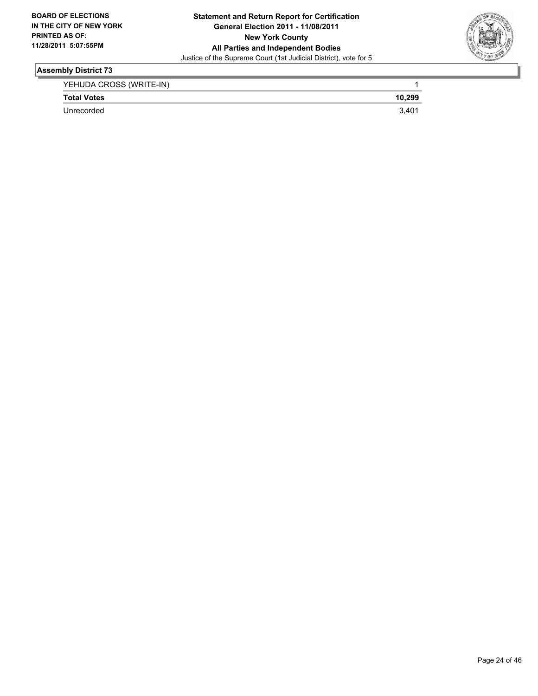

| YEHUDA CROSS (WRITE-IN) |                |
|-------------------------|----------------|
| <b>Total Votes</b>      | 10,299         |
| Unrecorded              | $3.40^{\circ}$ |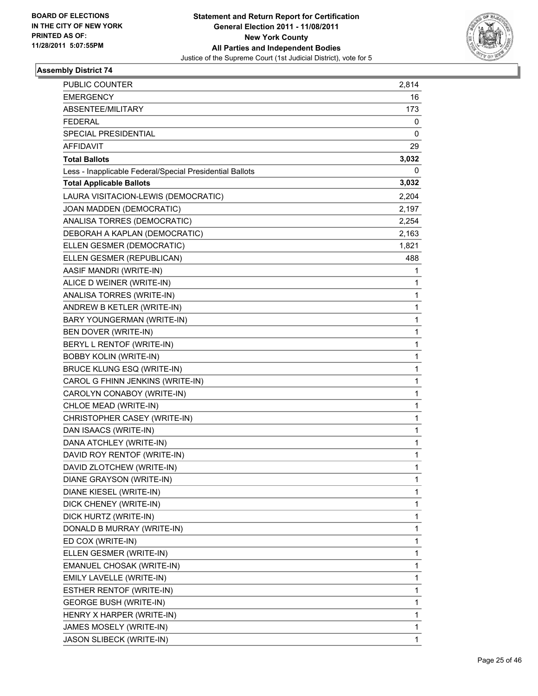

| PUBLIC COUNTER                                           | 2,814        |
|----------------------------------------------------------|--------------|
| <b>EMERGENCY</b>                                         | 16           |
| ABSENTEE/MILITARY                                        | 173          |
| <b>FEDERAL</b>                                           | 0            |
| SPECIAL PRESIDENTIAL                                     | 0            |
| AFFIDAVIT                                                | 29           |
| <b>Total Ballots</b>                                     | 3,032        |
| Less - Inapplicable Federal/Special Presidential Ballots | 0            |
| <b>Total Applicable Ballots</b>                          | 3,032        |
| LAURA VISITACION-LEWIS (DEMOCRATIC)                      | 2,204        |
| JOAN MADDEN (DEMOCRATIC)                                 | 2,197        |
| ANALISA TORRES (DEMOCRATIC)                              | 2,254        |
| DEBORAH A KAPLAN (DEMOCRATIC)                            | 2,163        |
| ELLEN GESMER (DEMOCRATIC)                                | 1,821        |
| ELLEN GESMER (REPUBLICAN)                                | 488          |
| AASIF MANDRI (WRITE-IN)                                  | 1            |
| ALICE D WEINER (WRITE-IN)                                | 1            |
| ANALISA TORRES (WRITE-IN)                                | 1            |
| ANDREW B KETLER (WRITE-IN)                               | 1            |
| BARY YOUNGERMAN (WRITE-IN)                               | 1            |
| BEN DOVER (WRITE-IN)                                     | $\mathbf 1$  |
| BERYL L RENTOF (WRITE-IN)                                | 1            |
| <b>BOBBY KOLIN (WRITE-IN)</b>                            | 1            |
| BRUCE KLUNG ESQ (WRITE-IN)                               | 1            |
| CAROL G FHINN JENKINS (WRITE-IN)                         | 1            |
| CAROLYN CONABOY (WRITE-IN)                               | 1            |
| CHLOE MEAD (WRITE-IN)                                    | 1            |
| CHRISTOPHER CASEY (WRITE-IN)                             | 1            |
| DAN ISAACS (WRITE-IN)                                    | 1            |
| DANA ATCHLEY (WRITE-IN)                                  | $\mathbf 1$  |
| DAVID ROY RENTOF (WRITE-IN)                              | 1            |
| DAVID ZLOTCHEW (WRITE-IN)                                | 1            |
| DIANE GRAYSON (WRITE-IN)                                 | 1            |
| DIANE KIESEL (WRITE-IN)                                  | 1            |
| DICK CHENEY (WRITE-IN)                                   | $\mathbf{1}$ |
| DICK HURTZ (WRITE-IN)                                    | 1            |
| DONALD B MURRAY (WRITE-IN)                               | 1            |
| ED COX (WRITE-IN)                                        | 1            |
| ELLEN GESMER (WRITE-IN)                                  | 1            |
| EMANUEL CHOSAK (WRITE-IN)                                | 1            |
| EMILY LAVELLE (WRITE-IN)                                 | $\mathbf{1}$ |
| ESTHER RENTOF (WRITE-IN)                                 | 1            |
| <b>GEORGE BUSH (WRITE-IN)</b>                            | 1            |
| HENRY X HARPER (WRITE-IN)                                | 1            |
| JAMES MOSELY (WRITE-IN)                                  | 1            |
| JASON SLIBECK (WRITE-IN)                                 | 1            |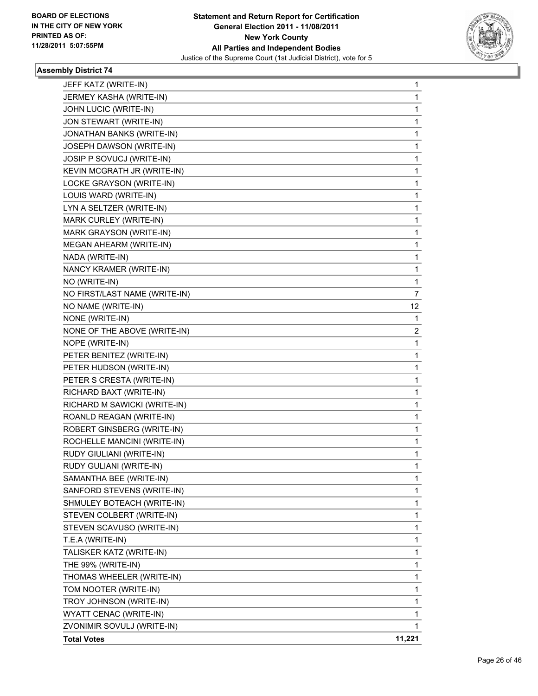

| <b>Total Votes</b>            | 11,221 |
|-------------------------------|--------|
| ZVONIMIR SOVULJ (WRITE-IN)    | 1      |
| WYATT CENAC (WRITE-IN)        | 1      |
| TROY JOHNSON (WRITE-IN)       | 1      |
| TOM NOOTER (WRITE-IN)         | 1      |
| THOMAS WHEELER (WRITE-IN)     | 1      |
| THE 99% (WRITE-IN)            | 1      |
| TALISKER KATZ (WRITE-IN)      | 1      |
| T.E.A (WRITE-IN)              | 1      |
| STEVEN SCAVUSO (WRITE-IN)     | 1      |
| STEVEN COLBERT (WRITE-IN)     | 1      |
| SHMULEY BOTEACH (WRITE-IN)    | 1      |
| SANFORD STEVENS (WRITE-IN)    | 1      |
| SAMANTHA BEE (WRITE-IN)       | 1      |
| RUDY GULIANI (WRITE-IN)       | 1      |
| RUDY GIULIANI (WRITE-IN)      | 1      |
| ROCHELLE MANCINI (WRITE-IN)   | 1      |
| ROBERT GINSBERG (WRITE-IN)    | 1      |
| ROANLD REAGAN (WRITE-IN)      | 1      |
| RICHARD M SAWICKI (WRITE-IN)  | 1      |
| RICHARD BAXT (WRITE-IN)       | 1      |
| PETER S CRESTA (WRITE-IN)     | 1      |
| PETER HUDSON (WRITE-IN)       | 1      |
| PETER BENITEZ (WRITE-IN)      | 1      |
| NOPE (WRITE-IN)               | 1      |
| NONE OF THE ABOVE (WRITE-IN)  | 2      |
| NONE (WRITE-IN)               | 1      |
| NO NAME (WRITE-IN)            | 12     |
| NO FIRST/LAST NAME (WRITE-IN) | 7      |
| NO (WRITE-IN)                 | 1      |
| NANCY KRAMER (WRITE-IN)       | 1      |
| NADA (WRITE-IN)               | 1      |
| MEGAN AHEARM (WRITE-IN)       | 1      |
| MARK GRAYSON (WRITE-IN)       | 1      |
| MARK CURLEY (WRITE-IN)        | 1      |
| LYN A SELTZER (WRITE-IN)      | 1      |
| LOUIS WARD (WRITE-IN)         | 1      |
| LOCKE GRAYSON (WRITE-IN)      | 1      |
| KEVIN MCGRATH JR (WRITE-IN)   | 1      |
| JOSIP P SOVUCJ (WRITE-IN)     | 1      |
| JOSEPH DAWSON (WRITE-IN)      | 1      |
| JONATHAN BANKS (WRITE-IN)     | 1      |
| JON STEWART (WRITE-IN)        | 1      |
| JOHN LUCIC (WRITE-IN)         | 1      |
| JERMEY KASHA (WRITE-IN)       | 1      |
| JEFF KATZ (WRITE-IN)          | 1      |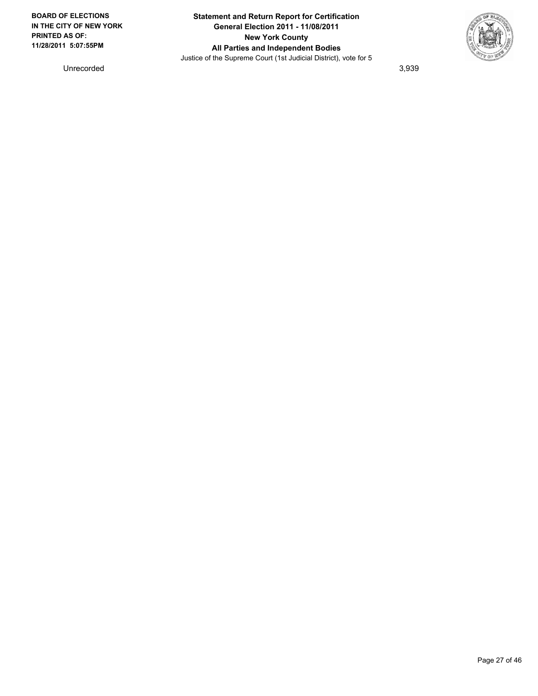

Unrecorded 3,939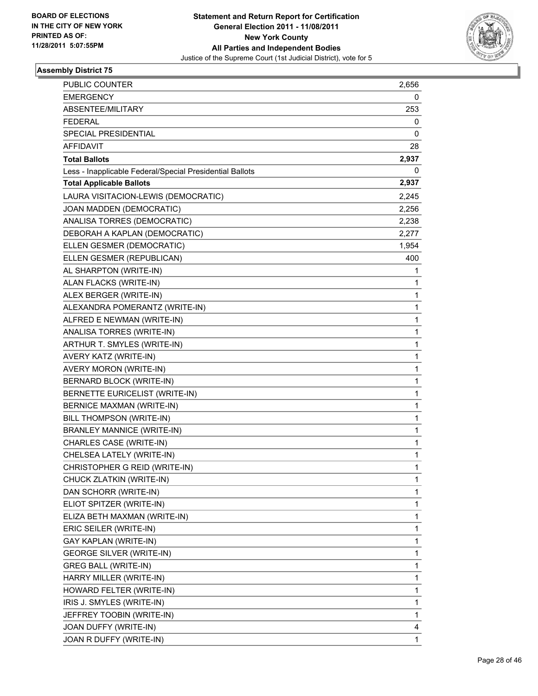

| PUBLIC COUNTER                                           | 2,656        |
|----------------------------------------------------------|--------------|
| <b>EMERGENCY</b>                                         | 0            |
| ABSENTEE/MILITARY                                        | 253          |
| <b>FEDERAL</b>                                           | 0            |
| SPECIAL PRESIDENTIAL                                     | 0            |
| <b>AFFIDAVIT</b>                                         | 28           |
| <b>Total Ballots</b>                                     | 2,937        |
| Less - Inapplicable Federal/Special Presidential Ballots | 0            |
| <b>Total Applicable Ballots</b>                          | 2,937        |
| LAURA VISITACION-LEWIS (DEMOCRATIC)                      | 2,245        |
| JOAN MADDEN (DEMOCRATIC)                                 | 2,256        |
| ANALISA TORRES (DEMOCRATIC)                              | 2,238        |
| DEBORAH A KAPLAN (DEMOCRATIC)                            | 2,277        |
| ELLEN GESMER (DEMOCRATIC)                                | 1,954        |
| ELLEN GESMER (REPUBLICAN)                                | 400          |
| AL SHARPTON (WRITE-IN)                                   | 1            |
| ALAN FLACKS (WRITE-IN)                                   | 1            |
| ALEX BERGER (WRITE-IN)                                   | 1            |
| ALEXANDRA POMERANTZ (WRITE-IN)                           | 1            |
| ALFRED E NEWMAN (WRITE-IN)                               | 1            |
| ANALISA TORRES (WRITE-IN)                                | 1            |
| ARTHUR T. SMYLES (WRITE-IN)                              | 1            |
| AVERY KATZ (WRITE-IN)                                    | 1            |
| AVERY MORON (WRITE-IN)                                   | 1            |
| BERNARD BLOCK (WRITE-IN)                                 | 1            |
| BERNETTE EURICELIST (WRITE-IN)                           | 1            |
| <b>BERNICE MAXMAN (WRITE-IN)</b>                         | 1            |
| BILL THOMPSON (WRITE-IN)                                 | 1            |
| <b>BRANLEY MANNICE (WRITE-IN)</b>                        | 1            |
| CHARLES CASE (WRITE-IN)                                  | 1            |
| CHELSEA LATELY (WRITE-IN)                                | 1            |
| CHRISTOPHER G REID (WRITE-IN)                            | 1            |
| CHUCK ZLATKIN (WRITE-IN)                                 | 1            |
| DAN SCHORR (WRITE-IN)                                    | 1            |
| ELIOT SPITZER (WRITE-IN)                                 | 1            |
| ELIZA BETH MAXMAN (WRITE-IN)                             | 1            |
| ERIC SEILER (WRITE-IN)                                   | 1            |
| GAY KAPLAN (WRITE-IN)                                    | 1            |
| <b>GEORGE SILVER (WRITE-IN)</b>                          | 1            |
| <b>GREG BALL (WRITE-IN)</b>                              | $\mathbf{1}$ |
| HARRY MILLER (WRITE-IN)                                  | 1            |
| HOWARD FELTER (WRITE-IN)                                 | 1            |
| IRIS J. SMYLES (WRITE-IN)                                | 1            |
| JEFFREY TOOBIN (WRITE-IN)                                | 1            |
| JOAN DUFFY (WRITE-IN)                                    | 4            |
| JOAN R DUFFY (WRITE-IN)                                  | 1            |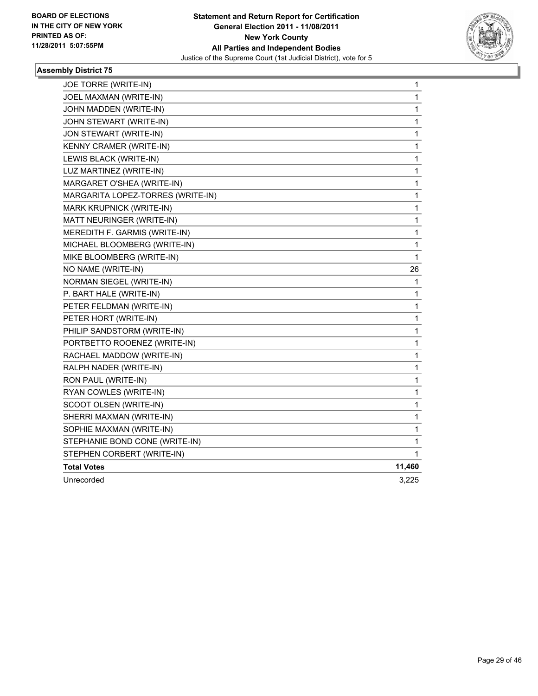

| JOE TORRE (WRITE-IN)              | 1      |
|-----------------------------------|--------|
| JOEL MAXMAN (WRITE-IN)            | 1      |
| JOHN MADDEN (WRITE-IN)            | 1      |
| JOHN STEWART (WRITE-IN)           | 1      |
| JON STEWART (WRITE-IN)            | 1      |
| KENNY CRAMER (WRITE-IN)           | 1      |
| LEWIS BLACK (WRITE-IN)            | 1      |
| LUZ MARTINEZ (WRITE-IN)           | 1      |
| MARGARET O'SHEA (WRITE-IN)        | 1      |
| MARGARITA LOPEZ-TORRES (WRITE-IN) | 1      |
| MARK KRUPNICK (WRITE-IN)          | 1      |
| MATT NEURINGER (WRITE-IN)         | 1      |
| MEREDITH F. GARMIS (WRITE-IN)     | 1      |
| MICHAEL BLOOMBERG (WRITE-IN)      | 1      |
| MIKE BLOOMBERG (WRITE-IN)         | 1      |
| NO NAME (WRITE-IN)                | 26     |
| NORMAN SIEGEL (WRITE-IN)          | 1      |
| P. BART HALE (WRITE-IN)           | 1      |
| PETER FELDMAN (WRITE-IN)          | 1      |
| PETER HORT (WRITE-IN)             | 1      |
| PHILIP SANDSTORM (WRITE-IN)       | 1      |
| PORTBETTO ROOENEZ (WRITE-IN)      | 1      |
| RACHAEL MADDOW (WRITE-IN)         | 1      |
| RALPH NADER (WRITE-IN)            | 1      |
| RON PAUL (WRITE-IN)               | 1      |
| RYAN COWLES (WRITE-IN)            | 1      |
| SCOOT OLSEN (WRITE-IN)            | 1      |
| SHERRI MAXMAN (WRITE-IN)          | 1      |
| SOPHIE MAXMAN (WRITE-IN)          | 1      |
| STEPHANIE BOND CONE (WRITE-IN)    | 1      |
| STEPHEN CORBERT (WRITE-IN)        | 1      |
| <b>Total Votes</b>                | 11,460 |
| Unrecorded                        | 3,225  |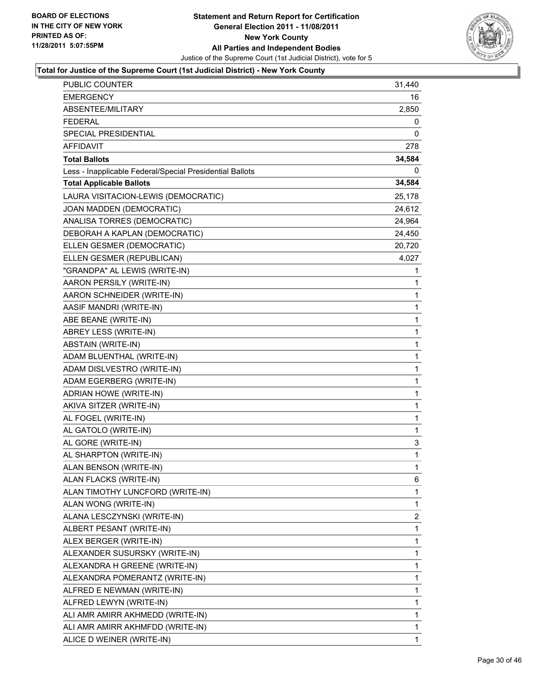

| <b>PUBLIC COUNTER</b>                                    | 31,440       |
|----------------------------------------------------------|--------------|
| <b>EMERGENCY</b>                                         | 16           |
| ABSENTEE/MILITARY                                        | 2,850        |
| <b>FEDERAL</b>                                           | 0            |
| SPECIAL PRESIDENTIAL                                     | 0            |
| AFFIDAVIT                                                | 278          |
| <b>Total Ballots</b>                                     | 34,584       |
| Less - Inapplicable Federal/Special Presidential Ballots | 0            |
| <b>Total Applicable Ballots</b>                          | 34,584       |
| LAURA VISITACION-LEWIS (DEMOCRATIC)                      | 25,178       |
| JOAN MADDEN (DEMOCRATIC)                                 | 24,612       |
| ANALISA TORRES (DEMOCRATIC)                              | 24,964       |
| DEBORAH A KAPLAN (DEMOCRATIC)                            | 24,450       |
| ELLEN GESMER (DEMOCRATIC)                                | 20,720       |
| ELLEN GESMER (REPUBLICAN)                                | 4,027        |
| "GRANDPA" AL LEWIS (WRITE-IN)                            | 1            |
| AARON PERSILY (WRITE-IN)                                 | 1            |
| AARON SCHNEIDER (WRITE-IN)                               | 1            |
| AASIF MANDRI (WRITE-IN)                                  | 1            |
| ABE BEANE (WRITE-IN)                                     | $\mathbf 1$  |
| ABREY LESS (WRITE-IN)                                    | 1            |
| ABSTAIN (WRITE-IN)                                       | 1            |
| ADAM BLUENTHAL (WRITE-IN)                                | $\mathbf 1$  |
| ADAM DISLVESTRO (WRITE-IN)                               | 1            |
| ADAM EGERBERG (WRITE-IN)                                 | 1            |
| ADRIAN HOWE (WRITE-IN)                                   | $\mathbf 1$  |
| AKIVA SITZER (WRITE-IN)                                  | 1            |
| AL FOGEL (WRITE-IN)                                      | 1            |
| AL GATOLO (WRITE-IN)                                     | 1            |
| AL GORE (WRITE-IN)                                       | 3            |
| AL SHARPTON (WRITE-IN)                                   | 1            |
| ALAN BENSON (WRITE-IN)                                   | $\mathbf{1}$ |
| ALAN FLACKS (WRITE-IN)                                   | 6            |
| ALAN TIMOTHY LUNCFORD (WRITE-IN)                         | 1            |
| ALAN WONG (WRITE-IN)                                     | 1            |
| ALANA LESCZYNSKI (WRITE-IN)                              | 2            |
| ALBERT PESANT (WRITE-IN)                                 | 1            |
| ALEX BERGER (WRITE-IN)                                   | 1            |
| ALEXANDER SUSURSKY (WRITE-IN)                            | 1            |
| ALEXANDRA H GREENE (WRITE-IN)                            | 1            |
| ALEXANDRA POMERANTZ (WRITE-IN)                           | 1            |
| ALFRED E NEWMAN (WRITE-IN)                               | 1            |
| ALFRED LEWYN (WRITE-IN)                                  | 1            |
| ALI AMR AMIRR AKHMEDD (WRITE-IN)                         | 1            |
| ALI AMR AMIRR AKHMFDD (WRITE-IN)                         | 1            |
| ALICE D WEINER (WRITE-IN)                                | 1            |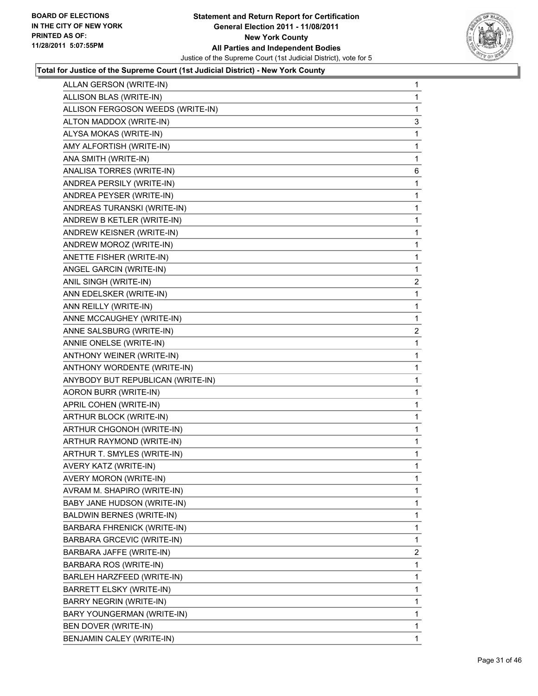

| ALLAN GERSON (WRITE-IN)           | 1              |
|-----------------------------------|----------------|
| ALLISON BLAS (WRITE-IN)           | 1              |
| ALLISON FERGOSON WEEDS (WRITE-IN) | 1              |
| ALTON MADDOX (WRITE-IN)           | 3              |
| ALYSA MOKAS (WRITE-IN)            | 1              |
| AMY ALFORTISH (WRITE-IN)          | 1              |
| ANA SMITH (WRITE-IN)              | 1              |
| ANALISA TORRES (WRITE-IN)         | 6              |
| ANDREA PERSILY (WRITE-IN)         | 1              |
| ANDREA PEYSER (WRITE-IN)          | 1              |
| ANDREAS TURANSKI (WRITE-IN)       | 1              |
| ANDREW B KETLER (WRITE-IN)        | 1              |
| ANDREW KEISNER (WRITE-IN)         | 1              |
| ANDREW MOROZ (WRITE-IN)           | 1              |
| ANETTE FISHER (WRITE-IN)          | 1              |
| ANGEL GARCIN (WRITE-IN)           | 1              |
| ANIL SINGH (WRITE-IN)             | $\overline{a}$ |
| ANN EDELSKER (WRITE-IN)           | 1              |
| ANN REILLY (WRITE-IN)             | 1              |
| ANNE MCCAUGHEY (WRITE-IN)         | $\mathbf 1$    |
| ANNE SALSBURG (WRITE-IN)          | $\mathbf{2}$   |
| ANNIE ONELSE (WRITE-IN)           | 1              |
| ANTHONY WEINER (WRITE-IN)         | 1              |
| ANTHONY WORDENTE (WRITE-IN)       | 1              |
| ANYBODY BUT REPUBLICAN (WRITE-IN) | 1              |
| AORON BURR (WRITE-IN)             | 1              |
| APRIL COHEN (WRITE-IN)            | 1              |
| ARTHUR BLOCK (WRITE-IN)           | 1              |
| ARTHUR CHGONOH (WRITE-IN)         | 1              |
| ARTHUR RAYMOND (WRITE-IN)         | 1              |
| ARTHUR T. SMYLES (WRITE-IN)       | 1              |
| AVERY KATZ (WRITE-IN)             | 1              |
| <b>AVERY MORON (WRITE-IN)</b>     | 1              |
| AVRAM M. SHAPIRO (WRITE-IN)       | 1              |
| BABY JANE HUDSON (WRITE-IN)       | 1              |
| <b>BALDWIN BERNES (WRITE-IN)</b>  | 1              |
| BARBARA FHRENICK (WRITE-IN)       | 1              |
| BARBARA GRCEVIC (WRITE-IN)        | 1              |
| BARBARA JAFFE (WRITE-IN)          | 2              |
| BARBARA ROS (WRITE-IN)            | 1              |
| BARLEH HARZFEED (WRITE-IN)        | 1              |
| BARRETT ELSKY (WRITE-IN)          | 1              |
| BARRY NEGRIN (WRITE-IN)           | 1              |
| BARY YOUNGERMAN (WRITE-IN)        | 1              |
| BEN DOVER (WRITE-IN)              | 1              |
| BENJAMIN CALEY (WRITE-IN)         | 1              |
|                                   |                |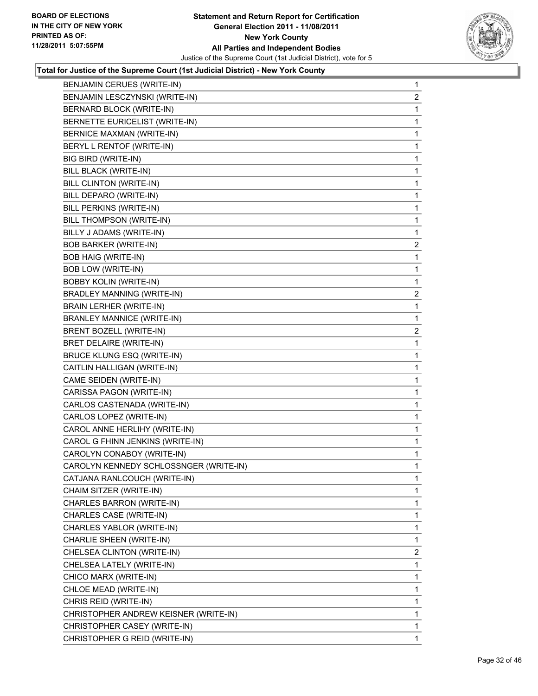

| BENJAMIN CERUES (WRITE-IN)             | 1              |
|----------------------------------------|----------------|
| BENJAMIN LESCZYNSKI (WRITE-IN)         | 2              |
| BERNARD BLOCK (WRITE-IN)               | 1              |
| BERNETTE EURICELIST (WRITE-IN)         | 1              |
| <b>BERNICE MAXMAN (WRITE-IN)</b>       | 1              |
| BERYL L RENTOF (WRITE-IN)              | 1              |
| BIG BIRD (WRITE-IN)                    | 1              |
| BILL BLACK (WRITE-IN)                  | 1              |
| <b>BILL CLINTON (WRITE-IN)</b>         | 1              |
| BILL DEPARO (WRITE-IN)                 | 1              |
| <b>BILL PERKINS (WRITE-IN)</b>         | 1              |
| BILL THOMPSON (WRITE-IN)               | 1              |
| BILLY J ADAMS (WRITE-IN)               | 1              |
| <b>BOB BARKER (WRITE-IN)</b>           | $\overline{a}$ |
| <b>BOB HAIG (WRITE-IN)</b>             | 1              |
| <b>BOB LOW (WRITE-IN)</b>              | 1              |
| <b>BOBBY KOLIN (WRITE-IN)</b>          | 1              |
| <b>BRADLEY MANNING (WRITE-IN)</b>      | 2              |
| BRAIN LERHER (WRITE-IN)                | 1              |
| <b>BRANLEY MANNICE (WRITE-IN)</b>      | 1              |
| BRENT BOZELL (WRITE-IN)                | 2              |
| BRET DELAIRE (WRITE-IN)                | 1              |
| BRUCE KLUNG ESQ (WRITE-IN)             | 1              |
| CAITLIN HALLIGAN (WRITE-IN)            | 1              |
| CAME SEIDEN (WRITE-IN)                 | 1              |
| CARISSA PAGON (WRITE-IN)               | 1              |
| CARLOS CASTENADA (WRITE-IN)            | 1              |
| CARLOS LOPEZ (WRITE-IN)                | 1              |
| CAROL ANNE HERLIHY (WRITE-IN)          | 1              |
| CAROL G FHINN JENKINS (WRITE-IN)       | 1              |
| CAROLYN CONABOY (WRITE-IN)             | 1              |
| CAROLYN KENNEDY SCHLOSSNGER (WRITE-IN) | $\mathbf{1}$   |
| CATJANA RANLCOUCH (WRITE-IN)           | 1              |
| CHAIM SITZER (WRITE-IN)                | 1              |
| CHARLES BARRON (WRITE-IN)              | 1              |
| CHARLES CASE (WRITE-IN)                | 1              |
| CHARLES YABLOR (WRITE-IN)              | 1              |
| CHARLIE SHEEN (WRITE-IN)               | 1              |
| CHELSEA CLINTON (WRITE-IN)             | 2              |
| CHELSEA LATELY (WRITE-IN)              | 1              |
| CHICO MARX (WRITE-IN)                  | 1              |
| CHLOE MEAD (WRITE-IN)                  | 1              |
| CHRIS REID (WRITE-IN)                  | 1              |
| CHRISTOPHER ANDREW KEISNER (WRITE-IN)  | 1              |
| CHRISTOPHER CASEY (WRITE-IN)           | 1              |
| CHRISTOPHER G REID (WRITE-IN)          | 1              |
|                                        |                |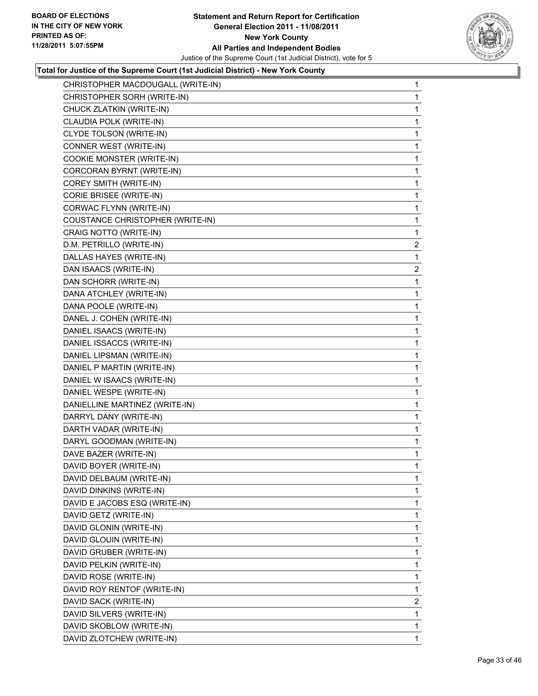

| CHRISTOPHER MACDOUGALL (WRITE-IN) | 1              |
|-----------------------------------|----------------|
| CHRISTOPHER SORH (WRITE-IN)       | 1              |
| CHUCK ZLATKIN (WRITE-IN)          | 1              |
| CLAUDIA POLK (WRITE-IN)           | 1              |
| CLYDE TOLSON (WRITE-IN)           | 1              |
| CONNER WEST (WRITE-IN)            | 1              |
| COOKIE MONSTER (WRITE-IN)         | 1              |
| CORCORAN BYRNT (WRITE-IN)         | 1              |
| COREY SMITH (WRITE-IN)            | 1              |
| CORIE BRISEE (WRITE-IN)           | 1              |
| CORWAC FLYNN (WRITE-IN)           | 1              |
| COUSTANCE CHRISTOPHER (WRITE-IN)  | 1              |
| CRAIG NOTTO (WRITE-IN)            | 1              |
| D.M. PETRILLO (WRITE-IN)          | 2              |
| DALLAS HAYES (WRITE-IN)           | 1              |
| DAN ISAACS (WRITE-IN)             | $\overline{2}$ |
| DAN SCHORR (WRITE-IN)             | 1              |
| DANA ATCHLEY (WRITE-IN)           | 1              |
| DANA POOLE (WRITE-IN)             | 1              |
| DANEL J. COHEN (WRITE-IN)         | 1              |
| DANIEL ISAACS (WRITE-IN)          | 1              |
| DANIEL ISSACCS (WRITE-IN)         | 1              |
| DANIEL LIPSMAN (WRITE-IN)         | 1              |
| DANIEL P MARTIN (WRITE-IN)        | 1              |
| DANIEL W ISAACS (WRITE-IN)        | 1              |
| DANIEL WESPE (WRITE-IN)           | 1              |
| DANIELLINE MARTINEZ (WRITE-IN)    | 1              |
| DARRYL DANY (WRITE-IN)            | 1              |
| DARTH VADAR (WRITE-IN)            | 1              |
| DARYL GOODMAN (WRITE-IN)          | 1              |
| DAVE BAZER (WRITE-IN)             | 1              |
| DAVID BOYER (WRITE-IN)            | 1              |
| DAVID DELBAUM (WRITE-IN)          | 1              |
| DAVID DINKINS (WRITE-IN)          | 1              |
| DAVID E JACOBS ESQ (WRITE-IN)     | 1              |
| DAVID GETZ (WRITE-IN)             | 1              |
| DAVID GLONIN (WRITE-IN)           | 1              |
| DAVID GLOUIN (WRITE-IN)           | 1              |
| DAVID GRUBER (WRITE-IN)           | 1              |
| DAVID PELKIN (WRITE-IN)           | 1              |
| DAVID ROSE (WRITE-IN)             | 1              |
| DAVID ROY RENTOF (WRITE-IN)       | 1              |
| DAVID SACK (WRITE-IN)             | $\overline{2}$ |
| DAVID SILVERS (WRITE-IN)          | 1              |
| DAVID SKOBLOW (WRITE-IN)          | 1              |
| DAVID ZLOTCHEW (WRITE-IN)         | $\mathbf{1}$   |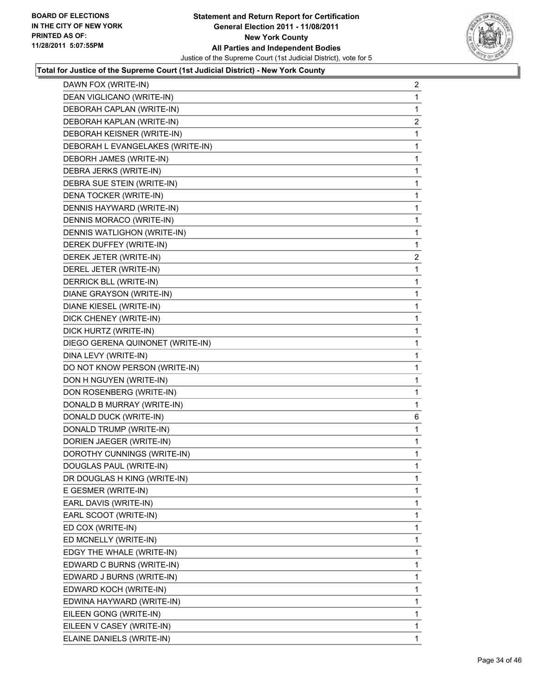

| DAWN FOX (WRITE-IN)              | 2              |
|----------------------------------|----------------|
| DEAN VIGLICANO (WRITE-IN)        | 1              |
| DEBORAH CAPLAN (WRITE-IN)        | 1              |
| DEBORAH KAPLAN (WRITE-IN)        | $\overline{2}$ |
| DEBORAH KEISNER (WRITE-IN)       | 1              |
| DEBORAH L EVANGELAKES (WRITE-IN) | 1              |
| DEBORH JAMES (WRITE-IN)          | 1              |
| DEBRA JERKS (WRITE-IN)           | 1              |
| DEBRA SUE STEIN (WRITE-IN)       | 1              |
| DENA TOCKER (WRITE-IN)           | 1              |
| DENNIS HAYWARD (WRITE-IN)        | 1              |
| DENNIS MORACO (WRITE-IN)         | 1              |
| DENNIS WATLIGHON (WRITE-IN)      | 1              |
| DEREK DUFFEY (WRITE-IN)          | 1              |
| DEREK JETER (WRITE-IN)           | $\mathbf{2}$   |
| DEREL JETER (WRITE-IN)           | 1              |
| DERRICK BLL (WRITE-IN)           | 1              |
| DIANE GRAYSON (WRITE-IN)         | 1              |
| DIANE KIESEL (WRITE-IN)          | 1              |
| DICK CHENEY (WRITE-IN)           | 1              |
| DICK HURTZ (WRITE-IN)            | 1              |
| DIEGO GERENA QUINONET (WRITE-IN) | 1              |
| DINA LEVY (WRITE-IN)             | 1              |
| DO NOT KNOW PERSON (WRITE-IN)    | 1              |
| DON H NGUYEN (WRITE-IN)          | 1              |
| DON ROSENBERG (WRITE-IN)         | 1              |
| DONALD B MURRAY (WRITE-IN)       | 1              |
| DONALD DUCK (WRITE-IN)           | 6              |
| DONALD TRUMP (WRITE-IN)          | 1              |
| DORIEN JAEGER (WRITE-IN)         | 1              |
| DOROTHY CUNNINGS (WRITE-IN)      | 1              |
| DOUGLAS PAUL (WRITE-IN)          | 1              |
| DR DOUGLAS H KING (WRITE-IN)     | 1              |
| E GESMER (WRITE-IN)              | 1              |
| EARL DAVIS (WRITE-IN)            | 1              |
| EARL SCOOT (WRITE-IN)            | 1              |
| ED COX (WRITE-IN)                | 1              |
| ED MCNELLY (WRITE-IN)            | 1              |
| EDGY THE WHALE (WRITE-IN)        | 1              |
| EDWARD C BURNS (WRITE-IN)        | 1              |
| EDWARD J BURNS (WRITE-IN)        | 1              |
| EDWARD KOCH (WRITE-IN)           | 1              |
| EDWINA HAYWARD (WRITE-IN)        | 1              |
| EILEEN GONG (WRITE-IN)           | 1              |
| EILEEN V CASEY (WRITE-IN)        | 1              |
| ELAINE DANIELS (WRITE-IN)        | $\mathbf{1}$   |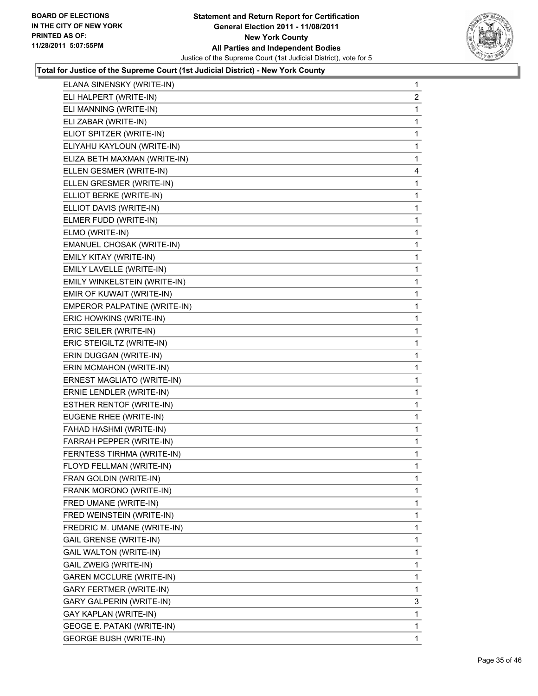

| ELANA SINENSKY (WRITE-IN)       | $\mathbf{1}$            |
|---------------------------------|-------------------------|
| ELI HALPERT (WRITE-IN)          | $\overline{\mathbf{c}}$ |
| ELI MANNING (WRITE-IN)          | 1                       |
| ELI ZABAR (WRITE-IN)            | 1                       |
| ELIOT SPITZER (WRITE-IN)        | 1                       |
| ELIYAHU KAYLOUN (WRITE-IN)      | 1                       |
| ELIZA BETH MAXMAN (WRITE-IN)    | 1                       |
| ELLEN GESMER (WRITE-IN)         | 4                       |
| ELLEN GRESMER (WRITE-IN)        | 1                       |
| ELLIOT BERKE (WRITE-IN)         | 1                       |
| ELLIOT DAVIS (WRITE-IN)         | 1                       |
| ELMER FUDD (WRITE-IN)           | 1                       |
| ELMO (WRITE-IN)                 | 1                       |
| EMANUEL CHOSAK (WRITE-IN)       | $\mathbf 1$             |
| EMILY KITAY (WRITE-IN)          | 1                       |
| EMILY LAVELLE (WRITE-IN)        | 1                       |
| EMILY WINKELSTEIN (WRITE-IN)    | 1                       |
| EMIR OF KUWAIT (WRITE-IN)       | 1                       |
| EMPEROR PALPATINE (WRITE-IN)    | 1                       |
| ERIC HOWKINS (WRITE-IN)         | $\mathbf 1$             |
| ERIC SEILER (WRITE-IN)          | 1                       |
| ERIC STEIGILTZ (WRITE-IN)       | 1                       |
| ERIN DUGGAN (WRITE-IN)          | 1                       |
| ERIN MCMAHON (WRITE-IN)         | 1                       |
| ERNEST MAGLIATO (WRITE-IN)      | 1                       |
| ERNIE LENDLER (WRITE-IN)        | 1                       |
| <b>ESTHER RENTOF (WRITE-IN)</b> | 1                       |
| EUGENE RHEE (WRITE-IN)          | 1                       |
| FAHAD HASHMI (WRITE-IN)         | 1                       |
| FARRAH PEPPER (WRITE-IN)        | 1                       |
| FERNTESS TIRHMA (WRITE-IN)      | 1                       |
| FLOYD FELLMAN (WRITE-IN)        | 1                       |
| FRAN GOLDIN (WRITE-IN)          | 1                       |
| FRANK MORONO (WRITE-IN)         | 1                       |
| FRED UMANE (WRITE-IN)           | 1                       |
| FRED WEINSTEIN (WRITE-IN)       | 1                       |
| FREDRIC M. UMANE (WRITE-IN)     | 1                       |
| <b>GAIL GRENSE (WRITE-IN)</b>   | 1                       |
| <b>GAIL WALTON (WRITE-IN)</b>   | 1                       |
| GAIL ZWEIG (WRITE-IN)           | 1                       |
| <b>GAREN MCCLURE (WRITE-IN)</b> | 1                       |
| <b>GARY FERTMER (WRITE-IN)</b>  | 1                       |
| GARY GALPERIN (WRITE-IN)        | 3                       |
| GAY KAPLAN (WRITE-IN)           | 1                       |
| GEOGE E. PATAKI (WRITE-IN)      | 1                       |
| <b>GEORGE BUSH (WRITE-IN)</b>   | 1                       |
|                                 |                         |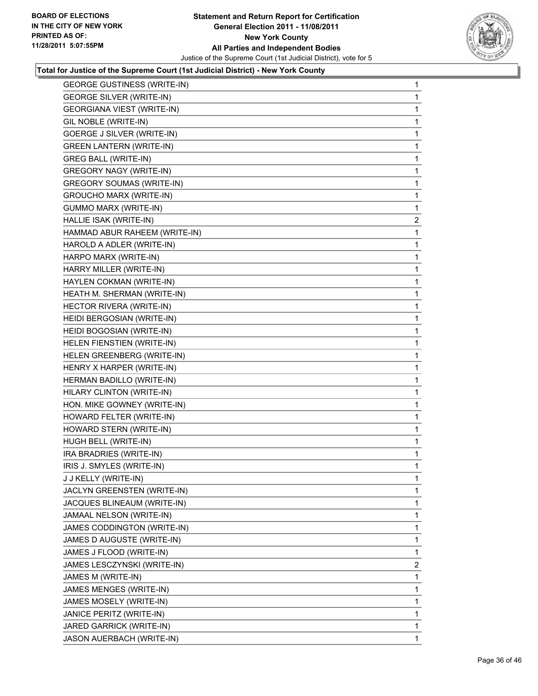

| <b>GEORGE GUSTINESS (WRITE-IN)</b> | 1            |
|------------------------------------|--------------|
| <b>GEORGE SILVER (WRITE-IN)</b>    | 1            |
| GEORGIANA VIEST (WRITE-IN)         | 1            |
| GIL NOBLE (WRITE-IN)               | 1            |
| <b>GOERGE J SILVER (WRITE-IN)</b>  | 1            |
| <b>GREEN LANTERN (WRITE-IN)</b>    | 1            |
| <b>GREG BALL (WRITE-IN)</b>        | 1            |
| <b>GREGORY NAGY (WRITE-IN)</b>     | 1            |
| <b>GREGORY SOUMAS (WRITE-IN)</b>   | 1            |
| <b>GROUCHO MARX (WRITE-IN)</b>     | 1            |
| <b>GUMMO MARX (WRITE-IN)</b>       | 1            |
| HALLIE ISAK (WRITE-IN)             | $\mathbf{2}$ |
| HAMMAD ABUR RAHEEM (WRITE-IN)      | 1            |
| HAROLD A ADLER (WRITE-IN)          | 1            |
| HARPO MARX (WRITE-IN)              | 1            |
| HARRY MILLER (WRITE-IN)            | 1            |
| HAYLEN COKMAN (WRITE-IN)           | 1            |
| HEATH M. SHERMAN (WRITE-IN)        | 1            |
| HECTOR RIVERA (WRITE-IN)           | 1            |
| HEIDI BERGOSIAN (WRITE-IN)         | 1            |
| HEIDI BOGOSIAN (WRITE-IN)          | 1            |
| HELEN FIENSTIEN (WRITE-IN)         | 1            |
| HELEN GREENBERG (WRITE-IN)         | 1            |
| HENRY X HARPER (WRITE-IN)          | 1            |
| HERMAN BADILLO (WRITE-IN)          | 1            |
| HILARY CLINTON (WRITE-IN)          | 1            |
| HON. MIKE GOWNEY (WRITE-IN)        | 1            |
| HOWARD FELTER (WRITE-IN)           | 1            |
| HOWARD STERN (WRITE-IN)            | 1            |
| HUGH BELL (WRITE-IN)               | 1            |
| IRA BRADRIES (WRITE-IN)            | 1            |
| IRIS J. SMYLES (WRITE-IN)          | 1            |
| J J KELLY (WRITE-IN)               | 1            |
| JACLYN GREENSTEN (WRITE-IN)        | 1            |
| JACQUES BLINEAUM (WRITE-IN)        | 1            |
| JAMAAL NELSON (WRITE-IN)           | 1            |
| JAMES CODDINGTON (WRITE-IN)        | 1            |
| JAMES D AUGUSTE (WRITE-IN)         | 1            |
| JAMES J FLOOD (WRITE-IN)           | 1            |
| JAMES LESCZYNSKI (WRITE-IN)        | 2            |
| JAMES M (WRITE-IN)                 | 1            |
| JAMES MENGES (WRITE-IN)            | 1            |
| JAMES MOSELY (WRITE-IN)            | 1            |
| JANICE PERITZ (WRITE-IN)           | 1            |
| JARED GARRICK (WRITE-IN)           | 1            |
| JASON AUERBACH (WRITE-IN)          | $\mathbf 1$  |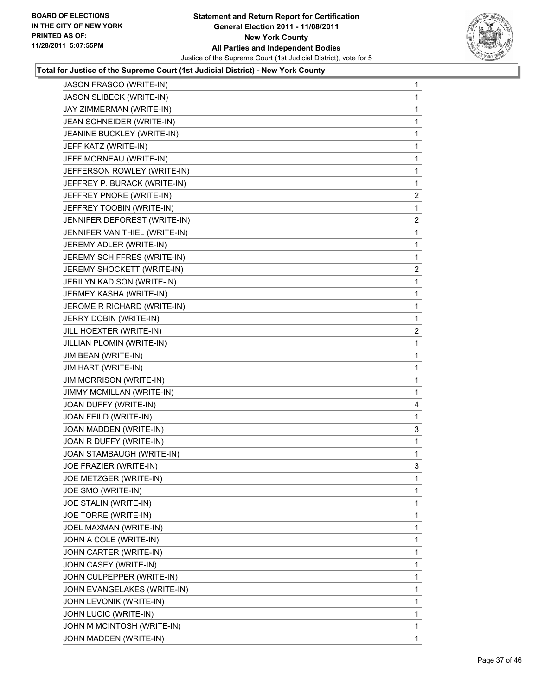

| <b>JASON FRASCO (WRITE-IN)</b> | 1              |
|--------------------------------|----------------|
| JASON SLIBECK (WRITE-IN)       | $\mathbf{1}$   |
| JAY ZIMMERMAN (WRITE-IN)       | 1              |
| JEAN SCHNEIDER (WRITE-IN)      | 1              |
| JEANINE BUCKLEY (WRITE-IN)     | 1              |
| JEFF KATZ (WRITE-IN)           | 1              |
| JEFF MORNEAU (WRITE-IN)        | 1              |
| JEFFERSON ROWLEY (WRITE-IN)    | 1              |
| JEFFREY P. BURACK (WRITE-IN)   | 1              |
| JEFFREY PNORE (WRITE-IN)       | $\overline{2}$ |
| JEFFREY TOOBIN (WRITE-IN)      | 1              |
| JENNIFER DEFOREST (WRITE-IN)   | $\overline{a}$ |
| JENNIFER VAN THIEL (WRITE-IN)  | 1              |
| JEREMY ADLER (WRITE-IN)        | 1              |
| JEREMY SCHIFFRES (WRITE-IN)    | 1              |
| JEREMY SHOCKETT (WRITE-IN)     | $\overline{2}$ |
| JERILYN KADISON (WRITE-IN)     | 1              |
| JERMEY KASHA (WRITE-IN)        | 1              |
| JEROME R RICHARD (WRITE-IN)    | 1              |
| JERRY DOBIN (WRITE-IN)         | 1              |
| JILL HOEXTER (WRITE-IN)        | $\mathbf{2}$   |
| JILLIAN PLOMIN (WRITE-IN)      | 1              |
| JIM BEAN (WRITE-IN)            | 1              |
| JIM HART (WRITE-IN)            | 1              |
| <b>JIM MORRISON (WRITE-IN)</b> | 1              |
| JIMMY MCMILLAN (WRITE-IN)      | 1              |
| JOAN DUFFY (WRITE-IN)          | 4              |
| JOAN FEILD (WRITE-IN)          | 1              |
| JOAN MADDEN (WRITE-IN)         | 3              |
| JOAN R DUFFY (WRITE-IN)        | 1              |
| JOAN STAMBAUGH (WRITE-IN)      | 1              |
| JOE FRAZIER (WRITE-IN)         | 3              |
| JOE METZGER (WRITE-IN)         | 1              |
| JOE SMO (WRITE-IN)             | 1              |
| JOE STALIN (WRITE-IN)          | 1              |
| JOE TORRE (WRITE-IN)           | 1              |
| JOEL MAXMAN (WRITE-IN)         | 1              |
| JOHN A COLE (WRITE-IN)         | 1              |
| JOHN CARTER (WRITE-IN)         | 1              |
| JOHN CASEY (WRITE-IN)          | 1              |
| JOHN CULPEPPER (WRITE-IN)      | 1              |
| JOHN EVANGELAKES (WRITE-IN)    | 1              |
| JOHN LEVONIK (WRITE-IN)        | 1              |
| JOHN LUCIC (WRITE-IN)          | 1              |
| JOHN M MCINTOSH (WRITE-IN)     | 1              |
| JOHN MADDEN (WRITE-IN)         | $\mathbf{1}$   |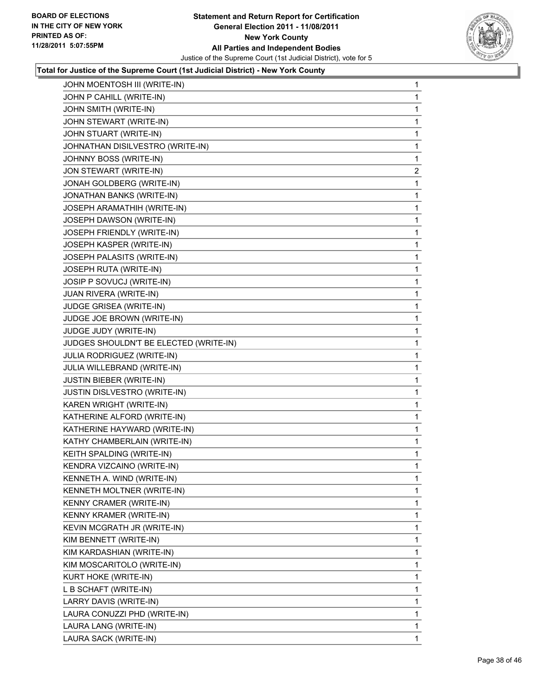

| JOHN MOENTOSH III (WRITE-IN)           | 1            |
|----------------------------------------|--------------|
| JOHN P CAHILL (WRITE-IN)               | 1            |
| JOHN SMITH (WRITE-IN)                  | 1            |
| JOHN STEWART (WRITE-IN)                | 1            |
| JOHN STUART (WRITE-IN)                 | 1            |
| JOHNATHAN DISILVESTRO (WRITE-IN)       | 1            |
| JOHNNY BOSS (WRITE-IN)                 | 1            |
| JON STEWART (WRITE-IN)                 | $\mathbf{2}$ |
| JONAH GOLDBERG (WRITE-IN)              | 1            |
| JONATHAN BANKS (WRITE-IN)              | 1            |
| JOSEPH ARAMATHIH (WRITE-IN)            | 1            |
| JOSEPH DAWSON (WRITE-IN)               | 1            |
| JOSEPH FRIENDLY (WRITE-IN)             | 1            |
| JOSEPH KASPER (WRITE-IN)               | 1            |
| JOSEPH PALASITS (WRITE-IN)             | 1            |
| JOSEPH RUTA (WRITE-IN)                 | 1            |
| JOSIP P SOVUCJ (WRITE-IN)              | 1            |
| JUAN RIVERA (WRITE-IN)                 | 1            |
| JUDGE GRISEA (WRITE-IN)                | 1            |
| JUDGE JOE BROWN (WRITE-IN)             | 1            |
| JUDGE JUDY (WRITE-IN)                  | 1            |
| JUDGES SHOULDN'T BE ELECTED (WRITE-IN) | 1            |
| JULIA RODRIGUEZ (WRITE-IN)             | 1            |
| JULIA WILLEBRAND (WRITE-IN)            | 1            |
| <b>JUSTIN BIEBER (WRITE-IN)</b>        | 1            |
| JUSTIN DISLVESTRO (WRITE-IN)           | 1            |
| KAREN WRIGHT (WRITE-IN)                | 1            |
| KATHERINE ALFORD (WRITE-IN)            | 1            |
| KATHERINE HAYWARD (WRITE-IN)           | 1            |
| KATHY CHAMBERLAIN (WRITE-IN)           | 1            |
| KEITH SPALDING (WRITE-IN)              | 1            |
| KENDRA VIZCAINO (WRITE-IN)             | 1            |
| KENNETH A. WIND (WRITE-IN)             | 1            |
| <b>KENNETH MOLTNER (WRITE-IN)</b>      | 1            |
| KENNY CRAMER (WRITE-IN)                | 1            |
| KENNY KRAMER (WRITE-IN)                | 1            |
| KEVIN MCGRATH JR (WRITE-IN)            | 1            |
| KIM BENNETT (WRITE-IN)                 | 1            |
| KIM KARDASHIAN (WRITE-IN)              | 1            |
| KIM MOSCARITOLO (WRITE-IN)             | 1            |
| KURT HOKE (WRITE-IN)                   | 1            |
| L B SCHAFT (WRITE-IN)                  | 1            |
| LARRY DAVIS (WRITE-IN)                 | 1            |
| LAURA CONUZZI PHD (WRITE-IN)           | 1            |
| LAURA LANG (WRITE-IN)                  | 1            |
| LAURA SACK (WRITE-IN)                  | 1            |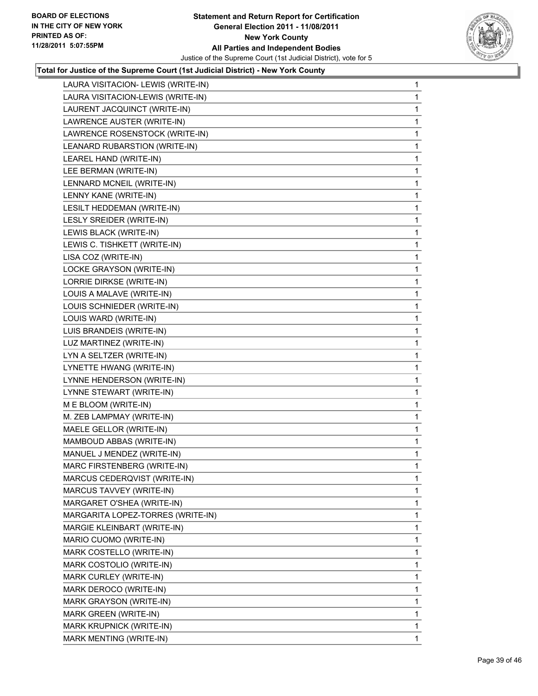

| LAURA VISITACION- LEWIS (WRITE-IN) | $\mathbf{1}$ |
|------------------------------------|--------------|
| LAURA VISITACION-LEWIS (WRITE-IN)  | 1            |
| LAURENT JACQUINCT (WRITE-IN)       | 1            |
| LAWRENCE AUSTER (WRITE-IN)         | 1            |
| LAWRENCE ROSENSTOCK (WRITE-IN)     | 1            |
| LEANARD RUBARSTION (WRITE-IN)      | 1            |
| LEAREL HAND (WRITE-IN)             | 1            |
| LEE BERMAN (WRITE-IN)              | 1            |
| LENNARD MCNEIL (WRITE-IN)          | 1            |
| LENNY KANE (WRITE-IN)              | 1            |
| LESILT HEDDEMAN (WRITE-IN)         | 1            |
| LESLY SREIDER (WRITE-IN)           | 1            |
| LEWIS BLACK (WRITE-IN)             | 1            |
| LEWIS C. TISHKETT (WRITE-IN)       | 1            |
| LISA COZ (WRITE-IN)                | 1            |
| LOCKE GRAYSON (WRITE-IN)           | 1            |
| LORRIE DIRKSE (WRITE-IN)           | 1            |
| LOUIS A MALAVE (WRITE-IN)          | 1            |
| LOUIS SCHNIEDER (WRITE-IN)         | 1            |
| LOUIS WARD (WRITE-IN)              | 1            |
| LUIS BRANDEIS (WRITE-IN)           | 1            |
| LUZ MARTINEZ (WRITE-IN)            | 1            |
| LYN A SELTZER (WRITE-IN)           | 1            |
| LYNETTE HWANG (WRITE-IN)           | 1            |
| LYNNE HENDERSON (WRITE-IN)         | 1            |
| LYNNE STEWART (WRITE-IN)           | 1            |
| M E BLOOM (WRITE-IN)               | 1            |
| M. ZEB LAMPMAY (WRITE-IN)          | 1            |
| MAELE GELLOR (WRITE-IN)            | 1            |
| MAMBOUD ABBAS (WRITE-IN)           | 1            |
| MANUEL J MENDEZ (WRITE-IN)         | 1            |
| MARC FIRSTENBERG (WRITE-IN)        | 1            |
| MARCUS CEDERQVIST (WRITE-IN)       | 1            |
| MARCUS TAVVEY (WRITE-IN)           | 1            |
| MARGARET O'SHEA (WRITE-IN)         | 1            |
| MARGARITA LOPEZ-TORRES (WRITE-IN)  | 1            |
| MARGIE KLEINBART (WRITE-IN)        | 1            |
| MARIO CUOMO (WRITE-IN)             | 1            |
| MARK COSTELLO (WRITE-IN)           | 1            |
| MARK COSTOLIO (WRITE-IN)           | 1            |
| MARK CURLEY (WRITE-IN)             | 1            |
| MARK DEROCO (WRITE-IN)             | 1            |
| MARK GRAYSON (WRITE-IN)            | 1            |
| MARK GREEN (WRITE-IN)              | $\mathbf{1}$ |
| MARK KRUPNICK (WRITE-IN)           | 1            |
| MARK MENTING (WRITE-IN)            | $\mathbf 1$  |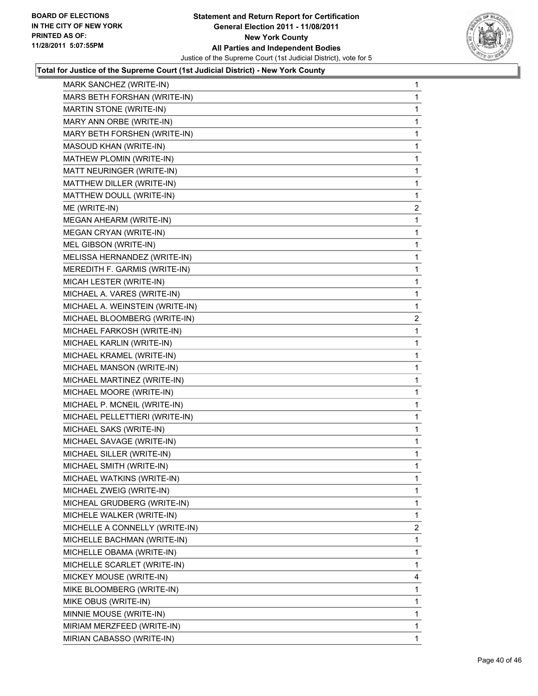

| MARK SANCHEZ (WRITE-IN)         | $\mathbf 1$    |
|---------------------------------|----------------|
| MARS BETH FORSHAN (WRITE-IN)    | 1              |
| MARTIN STONE (WRITE-IN)         | 1              |
| MARY ANN ORBE (WRITE-IN)        | 1              |
| MARY BETH FORSHEN (WRITE-IN)    | 1              |
| MASOUD KHAN (WRITE-IN)          | 1              |
| MATHEW PLOMIN (WRITE-IN)        | 1              |
| MATT NEURINGER (WRITE-IN)       | 1              |
| MATTHEW DILLER (WRITE-IN)       | 1              |
| MATTHEW DOULL (WRITE-IN)        | 1              |
| ME (WRITE-IN)                   | $\overline{a}$ |
| MEGAN AHEARM (WRITE-IN)         | 1              |
| MEGAN CRYAN (WRITE-IN)          | 1              |
| MEL GIBSON (WRITE-IN)           | 1              |
| MELISSA HERNANDEZ (WRITE-IN)    | 1              |
| MEREDITH F. GARMIS (WRITE-IN)   | 1              |
| MICAH LESTER (WRITE-IN)         | 1              |
| MICHAEL A. VARES (WRITE-IN)     | 1              |
| MICHAEL A. WEINSTEIN (WRITE-IN) | 1              |
| MICHAEL BLOOMBERG (WRITE-IN)    | $\overline{a}$ |
| MICHAEL FARKOSH (WRITE-IN)      | 1              |
| MICHAEL KARLIN (WRITE-IN)       | 1              |
| MICHAEL KRAMEL (WRITE-IN)       | 1              |
| MICHAEL MANSON (WRITE-IN)       | 1              |
| MICHAEL MARTINEZ (WRITE-IN)     | 1              |
| MICHAEL MOORE (WRITE-IN)        | 1              |
| MICHAEL P. MCNEIL (WRITE-IN)    | 1              |
| MICHAEL PELLETTIERI (WRITE-IN)  | 1              |
| MICHAEL SAKS (WRITE-IN)         | 1              |
| MICHAEL SAVAGE (WRITE-IN)       | 1              |
| MICHAEL SILLER (WRITE-IN)       | 1              |
| MICHAEL SMITH (WRITE-IN)        | 1              |
| MICHAEL WATKINS (WRITE-IN)      | 1              |
| MICHAEL ZWEIG (WRITE-IN)        | 1              |
| MICHEAL GRUDBERG (WRITE-IN)     | 1              |
| MICHELE WALKER (WRITE-IN)       | 1              |
| MICHELLE A CONNELLY (WRITE-IN)  | $\overline{2}$ |
| MICHELLE BACHMAN (WRITE-IN)     | 1              |
| MICHELLE OBAMA (WRITE-IN)       | 1              |
| MICHELLE SCARLET (WRITE-IN)     | 1              |
| MICKEY MOUSE (WRITE-IN)         | 4              |
| MIKE BLOOMBERG (WRITE-IN)       | 1              |
| MIKE OBUS (WRITE-IN)            | 1              |
| MINNIE MOUSE (WRITE-IN)         | 1              |
| MIRIAM MERZFEED (WRITE-IN)      | 1              |
| MIRIAN CABASSO (WRITE-IN)       | 1              |
|                                 |                |
|                                 |                |
|                                 |                |
|                                 |                |
|                                 |                |
|                                 |                |
|                                 |                |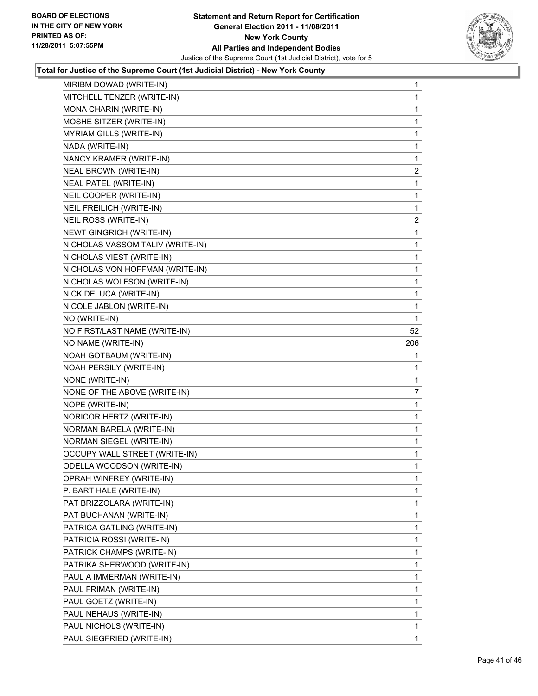

| MIRIBM DOWAD (WRITE-IN)              | 1            |
|--------------------------------------|--------------|
| MITCHELL TENZER (WRITE-IN)           | 1            |
| MONA CHARIN (WRITE-IN)               | 1            |
| MOSHE SITZER (WRITE-IN)              | 1            |
| MYRIAM GILLS (WRITE-IN)              | 1            |
| NADA (WRITE-IN)                      | 1            |
| NANCY KRAMER (WRITE-IN)              | 1            |
| NEAL BROWN (WRITE-IN)                | $\mathbf{2}$ |
| <b>NEAL PATEL (WRITE-IN)</b>         | 1            |
| NEIL COOPER (WRITE-IN)               | 1            |
| NEIL FREILICH (WRITE-IN)             | 1            |
| NEIL ROSS (WRITE-IN)                 | 2            |
| NEWT GINGRICH (WRITE-IN)             | 1            |
| NICHOLAS VASSOM TALIV (WRITE-IN)     | 1            |
| NICHOLAS VIEST (WRITE-IN)            | 1            |
| NICHOLAS VON HOFFMAN (WRITE-IN)      | 1            |
| NICHOLAS WOLFSON (WRITE-IN)          | 1            |
| NICK DELUCA (WRITE-IN)               | 1            |
| NICOLE JABLON (WRITE-IN)             | 1            |
| NO (WRITE-IN)                        | 1            |
| NO FIRST/LAST NAME (WRITE-IN)        | 52           |
| NO NAME (WRITE-IN)                   | 206          |
| NOAH GOTBAUM (WRITE-IN)              | 1            |
| NOAH PERSILY (WRITE-IN)              | 1            |
| NONE (WRITE-IN)                      | 1            |
| NONE OF THE ABOVE (WRITE-IN)         | 7            |
| NOPE (WRITE-IN)                      | 1            |
| NORICOR HERTZ (WRITE-IN)             | 1            |
| NORMAN BARELA (WRITE-IN)             | 1            |
| NORMAN SIEGEL (WRITE-IN)             | 1            |
| <b>OCCUPY WALL STREET (WRITE-IN)</b> | 1            |
| ODELLA WOODSON (WRITE-IN)            | 1            |
| OPRAH WINFREY (WRITE-IN)             | 1            |
| P. BART HALE (WRITE-IN)              | $\mathbf{1}$ |
| PAT BRIZZOLARA (WRITE-IN)            | 1            |
| PAT BUCHANAN (WRITE-IN)              | 1            |
| PATRICA GATLING (WRITE-IN)           | 1            |
| PATRICIA ROSSI (WRITE-IN)            | 1            |
| PATRICK CHAMPS (WRITE-IN)            | 1            |
| PATRIKA SHERWOOD (WRITE-IN)          | 1            |
| PAUL A IMMERMAN (WRITE-IN)           | 1            |
| PAUL FRIMAN (WRITE-IN)               | 1            |
| PAUL GOETZ (WRITE-IN)                | 1            |
| PAUL NEHAUS (WRITE-IN)               | $\mathbf{1}$ |
| PAUL NICHOLS (WRITE-IN)              | 1            |
| PAUL SIEGFRIED (WRITE-IN)            | $\mathbf{1}$ |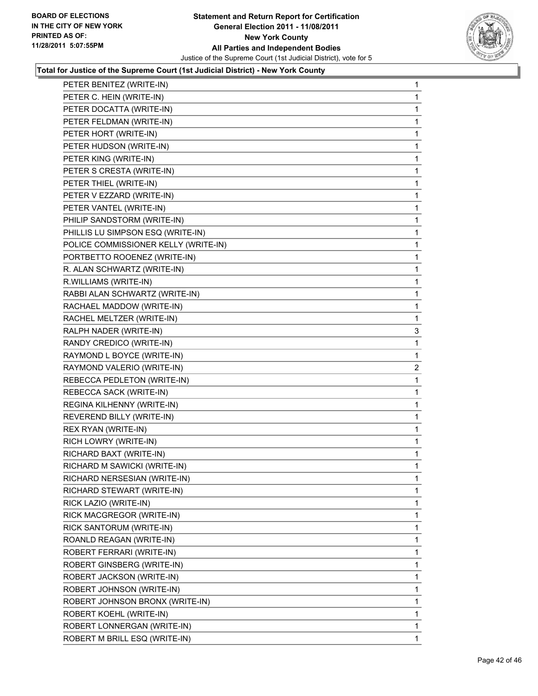

| PETER BENITEZ (WRITE-IN)             | 1 |
|--------------------------------------|---|
| PETER C. HEIN (WRITE-IN)             | 1 |
| PETER DOCATTA (WRITE-IN)             | 1 |
| PETER FELDMAN (WRITE-IN)             | 1 |
| PETER HORT (WRITE-IN)                | 1 |
| PETER HUDSON (WRITE-IN)              | 1 |
| PETER KING (WRITE-IN)                | 1 |
| PETER S CRESTA (WRITE-IN)            | 1 |
| PETER THIEL (WRITE-IN)               | 1 |
| PETER V EZZARD (WRITE-IN)            | 1 |
| PETER VANTEL (WRITE-IN)              | 1 |
| PHILIP SANDSTORM (WRITE-IN)          | 1 |
| PHILLIS LU SIMPSON ESQ (WRITE-IN)    | 1 |
| POLICE COMMISSIONER KELLY (WRITE-IN) | 1 |
| PORTBETTO ROOENEZ (WRITE-IN)         | 1 |
| R. ALAN SCHWARTZ (WRITE-IN)          | 1 |
| R.WILLIAMS (WRITE-IN)                | 1 |
| RABBI ALAN SCHWARTZ (WRITE-IN)       | 1 |
| RACHAEL MADDOW (WRITE-IN)            | 1 |
| RACHEL MELTZER (WRITE-IN)            | 1 |
| RALPH NADER (WRITE-IN)               | 3 |
| RANDY CREDICO (WRITE-IN)             | 1 |
| RAYMOND L BOYCE (WRITE-IN)           | 1 |
| RAYMOND VALERIO (WRITE-IN)           | 2 |
| REBECCA PEDLETON (WRITE-IN)          | 1 |
| REBECCA SACK (WRITE-IN)              | 1 |
| REGINA KILHENNY (WRITE-IN)           | 1 |
| REVEREND BILLY (WRITE-IN)            | 1 |
| REX RYAN (WRITE-IN)                  | 1 |
| RICH LOWRY (WRITE-IN)                | 1 |
| RICHARD BAXT (WRITE-IN)              | 1 |
| RICHARD M SAWICKI (WRITE-IN)         | 1 |
| RICHARD NERSESIAN (WRITE-IN)         | 1 |
| RICHARD STEWART (WRITE-IN)           | 1 |
| RICK LAZIO (WRITE-IN)                | 1 |
| RICK MACGREGOR (WRITE-IN)            | 1 |
| RICK SANTORUM (WRITE-IN)             | 1 |
| ROANLD REAGAN (WRITE-IN)             | 1 |
| ROBERT FERRARI (WRITE-IN)            | 1 |
| ROBERT GINSBERG (WRITE-IN)           | 1 |
| ROBERT JACKSON (WRITE-IN)            | 1 |
| ROBERT JOHNSON (WRITE-IN)            | 1 |
| ROBERT JOHNSON BRONX (WRITE-IN)      | 1 |
| ROBERT KOEHL (WRITE-IN)              | 1 |
| ROBERT LONNERGAN (WRITE-IN)          | 1 |
| ROBERT M BRILL ESQ (WRITE-IN)        | 1 |
|                                      |   |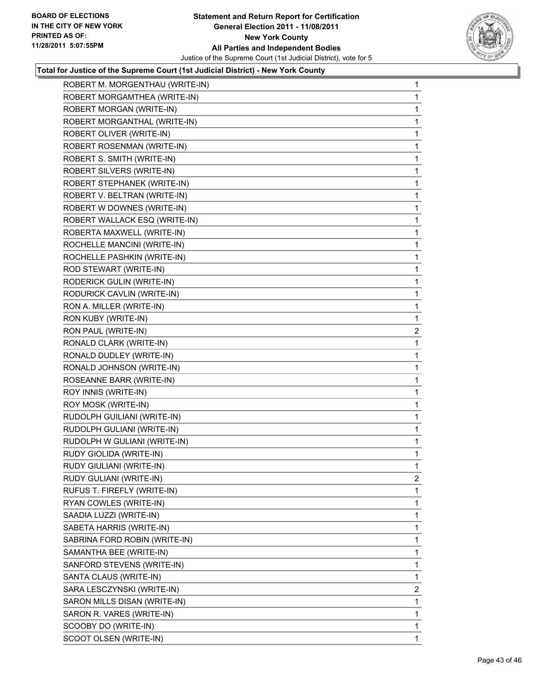

| ROBERT M. MORGENTHAU (WRITE-IN) | $\mathbf 1$    |
|---------------------------------|----------------|
| ROBERT MORGAMTHEA (WRITE-IN)    | 1              |
| ROBERT MORGAN (WRITE-IN)        | 1              |
| ROBERT MORGANTHAL (WRITE-IN)    | 1              |
| ROBERT OLIVER (WRITE-IN)        | 1              |
| ROBERT ROSENMAN (WRITE-IN)      | 1              |
| ROBERT S. SMITH (WRITE-IN)      | 1              |
| ROBERT SILVERS (WRITE-IN)       | 1              |
| ROBERT STEPHANEK (WRITE-IN)     | 1              |
| ROBERT V. BELTRAN (WRITE-IN)    | 1              |
| ROBERT W DOWNES (WRITE-IN)      | 1              |
| ROBERT WALLACK ESQ (WRITE-IN)   | 1              |
| ROBERTA MAXWELL (WRITE-IN)      | 1              |
| ROCHELLE MANCINI (WRITE-IN)     | 1              |
| ROCHELLE PASHKIN (WRITE-IN)     | 1              |
| ROD STEWART (WRITE-IN)          | 1              |
| RODERICK GULIN (WRITE-IN)       | 1              |
| RODURICK CAVLIN (WRITE-IN)      | 1              |
| RON A. MILLER (WRITE-IN)        | 1              |
| RON KUBY (WRITE-IN)             | 1              |
| RON PAUL (WRITE-IN)             | 2              |
| RONALD CLARK (WRITE-IN)         | 1              |
| RONALD DUDLEY (WRITE-IN)        | 1              |
| RONALD JOHNSON (WRITE-IN)       | 1              |
| ROSEANNE BARR (WRITE-IN)        | 1              |
| ROY INNIS (WRITE-IN)            | 1              |
| ROY MOSK (WRITE-IN)             | 1              |
| RUDOLPH GUILIANI (WRITE-IN)     | 1              |
| RUDOLPH GULIANI (WRITE-IN)      | 1              |
| RUDOLPH W GULIANI (WRITE-IN)    | 1              |
| RUDY GIOLIDA (WRITE-IN)         | 1              |
| RUDY GIULIANI (WRITE-IN)        | 1              |
| RUDY GULIANI (WRITE-IN)         | 2              |
| RUFUS T. FIREFLY (WRITE-IN)     | 1              |
| RYAN COWLES (WRITE-IN)          | 1              |
| SAADIA LUZZI (WRITE-IN)         | 1              |
| SABETA HARRIS (WRITE-IN)        | 1              |
| SABRINA FORD ROBIN (WRITE-IN)   | 1              |
| SAMANTHA BEE (WRITE-IN)         | 1              |
| SANFORD STEVENS (WRITE-IN)      | 1              |
| SANTA CLAUS (WRITE-IN)          | 1              |
| SARA LESCZYNSKI (WRITE-IN)      | $\overline{2}$ |
| SARON MILLS DISAN (WRITE-IN)    | 1              |
| SARON R. VARES (WRITE-IN)       | 1              |
| SCOOBY DO (WRITE-IN)            | 1              |
| SCOOT OLSEN (WRITE-IN)          | 1              |
|                                 |                |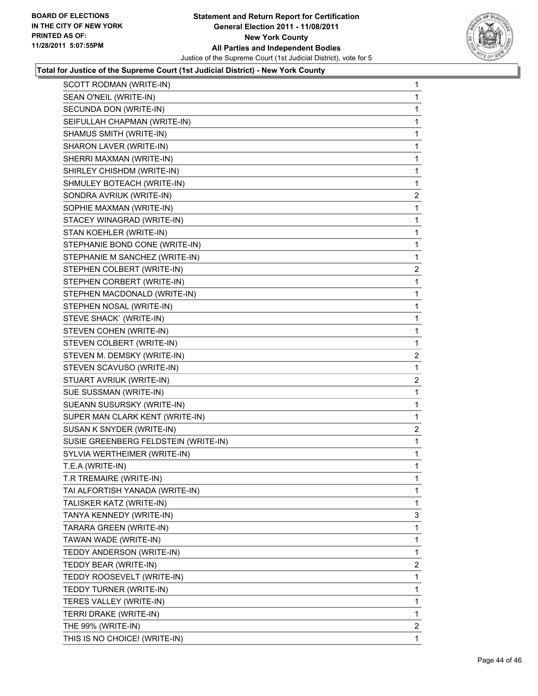

| SCOTT RODMAN (WRITE-IN)              | $\mathbf 1$    |
|--------------------------------------|----------------|
| SEAN O'NEIL (WRITE-IN)               | 1              |
| SECUNDA DON (WRITE-IN)               | 1              |
| SEIFULLAH CHAPMAN (WRITE-IN)         | 1              |
| SHAMUS SMITH (WRITE-IN)              | 1              |
| SHARON LAVER (WRITE-IN)              | 1              |
| SHERRI MAXMAN (WRITE-IN)             | 1              |
| SHIRLEY CHISHDM (WRITE-IN)           | $\mathbf 1$    |
| SHMULEY BOTEACH (WRITE-IN)           | 1              |
| SONDRA AVRIUK (WRITE-IN)             | 2              |
| SOPHIE MAXMAN (WRITE-IN)             | 1              |
| STACEY WINAGRAD (WRITE-IN)           | 1              |
| STAN KOEHLER (WRITE-IN)              | 1              |
| STEPHANIE BOND CONE (WRITE-IN)       | $\mathbf 1$    |
| STEPHANIE M SANCHEZ (WRITE-IN)       | 1              |
| STEPHEN COLBERT (WRITE-IN)           | 2              |
| STEPHEN CORBERT (WRITE-IN)           | 1              |
| STEPHEN MACDONALD (WRITE-IN)         | 1              |
| STEPHEN NOSAL (WRITE-IN)             | $\mathbf 1$    |
| STEVE SHACK` (WRITE-IN)              | $\mathbf 1$    |
| STEVEN COHEN (WRITE-IN)              | 1              |
| STEVEN COLBERT (WRITE-IN)            | 1              |
| STEVEN M. DEMSKY (WRITE-IN)          | $\overline{a}$ |
| STEVEN SCAVUSO (WRITE-IN)            | 1              |
| STUART AVRIUK (WRITE-IN)             | $\mathbf{2}$   |
| SUE SUSSMAN (WRITE-IN)               | $\mathbf 1$    |
| SUEANN SUSURSKY (WRITE-IN)           | 1              |
| SUPER MAN CLARK KENT (WRITE-IN)      | 1              |
| SUSAN K SNYDER (WRITE-IN)            | $\overline{c}$ |
| SUSIE GREENBERG FELDSTEIN (WRITE-IN) | 1              |
| SYLVIA WERTHEIMER (WRITE-IN)         | $\mathbf 1$    |
| T.E.A (WRITE-IN)                     | 1              |
| T.R TREMAIRE (WRITE-IN)              | 1              |
| TAI ALFORTISH YANADA (WRITE-IN)      | 1              |
| TALISKER KATZ (WRITE-IN)             | 1              |
| TANYA KENNEDY (WRITE-IN)             | 3              |
| TARARA GREEN (WRITE-IN)              | 1              |
| TAWAN WADE (WRITE-IN)                | 1              |
| TEDDY ANDERSON (WRITE-IN)            | 1              |
| TEDDY BEAR (WRITE-IN)                | $\overline{2}$ |
| TEDDY ROOSEVELT (WRITE-IN)           | 1              |
| TEDDY TURNER (WRITE-IN)              | 1              |
| TERES VALLEY (WRITE-IN)              | 1              |
| TERRI DRAKE (WRITE-IN)               | 1              |
| THE 99% (WRITE-IN)                   | 2              |
| THIS IS NO CHOICE! (WRITE-IN)        | 1              |
|                                      |                |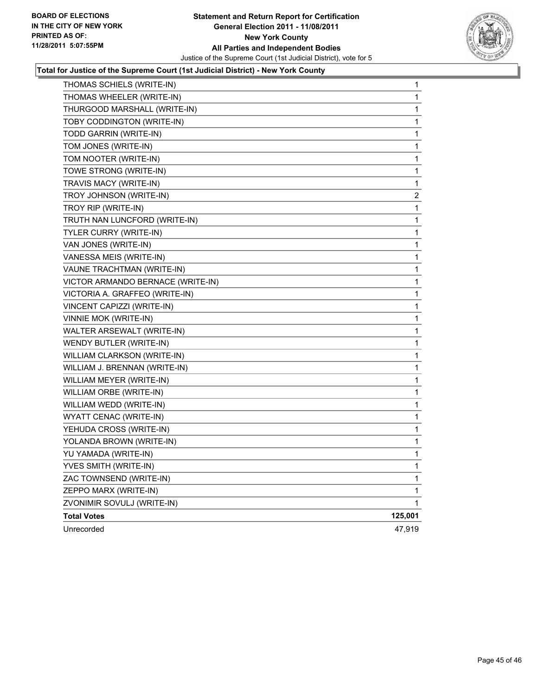

| THOMAS SCHIELS (WRITE-IN)         | 1            |
|-----------------------------------|--------------|
| THOMAS WHEELER (WRITE-IN)         | 1            |
| THURGOOD MARSHALL (WRITE-IN)      | 1            |
| TOBY CODDINGTON (WRITE-IN)        | 1            |
| TODD GARRIN (WRITE-IN)            | 1            |
| TOM JONES (WRITE-IN)              | 1            |
| TOM NOOTER (WRITE-IN)             | 1            |
| TOWE STRONG (WRITE-IN)            | 1            |
| TRAVIS MACY (WRITE-IN)            | 1            |
| TROY JOHNSON (WRITE-IN)           | 2            |
| TROY RIP (WRITE-IN)               | 1            |
| TRUTH NAN LUNCFORD (WRITE-IN)     | 1            |
| TYLER CURRY (WRITE-IN)            | 1            |
| VAN JONES (WRITE-IN)              | 1            |
| VANESSA MEIS (WRITE-IN)           | 1            |
| VAUNE TRACHTMAN (WRITE-IN)        | 1            |
| VICTOR ARMANDO BERNACE (WRITE-IN) | 1            |
| VICTORIA A. GRAFFEO (WRITE-IN)    | 1            |
| VINCENT CAPIZZI (WRITE-IN)        | 1            |
| VINNIE MOK (WRITE-IN)             | 1            |
| WALTER ARSEWALT (WRITE-IN)        | 1            |
| WENDY BUTLER (WRITE-IN)           | 1            |
| WILLIAM CLARKSON (WRITE-IN)       | 1            |
| WILLIAM J. BRENNAN (WRITE-IN)     | 1            |
| WILLIAM MEYER (WRITE-IN)          | $\mathbf{1}$ |
| WILLIAM ORBE (WRITE-IN)           | 1            |
| WILLIAM WEDD (WRITE-IN)           | 1            |
| WYATT CENAC (WRITE-IN)            | $\mathbf{1}$ |
| YEHUDA CROSS (WRITE-IN)           | $\mathbf{1}$ |
| YOLANDA BROWN (WRITE-IN)          | 1            |
| YU YAMADA (WRITE-IN)              | 1            |
| YVES SMITH (WRITE-IN)             | 1            |
| ZAC TOWNSEND (WRITE-IN)           | 1            |
| ZEPPO MARX (WRITE-IN)             | 1            |
| ZVONIMIR SOVULJ (WRITE-IN)        | 1            |
| <b>Total Votes</b>                | 125,001      |
| Unrecorded                        | 47,919       |